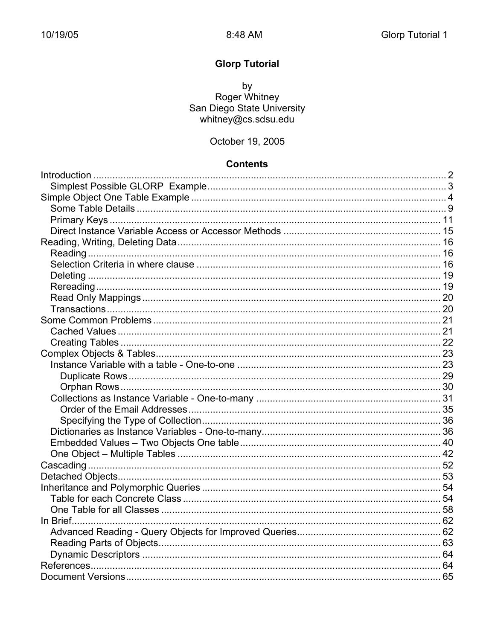# **Glorp Tutorial**

by<br>Roger Whitney<br>San Diego State University whitney@cs.sdsu.edu

#### October 19, 2005

#### **Contents**

| 65 |
|----|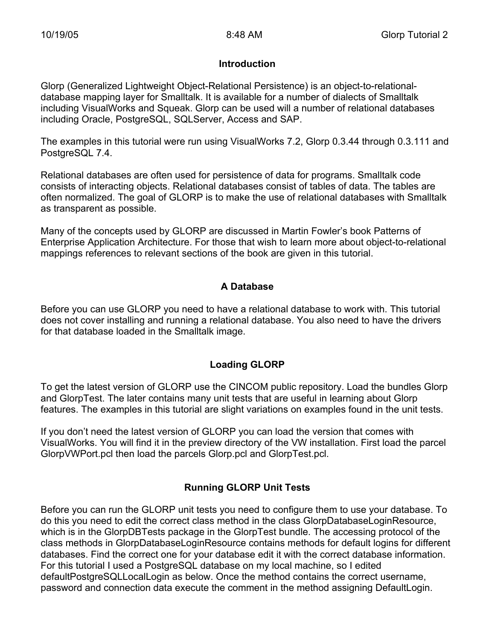#### **Introduction**

Glorp (Generalized Lightweight Object-Relational Persistence) is an object-to-relationaldatabase mapping layer for Smalltalk. It is available for a number of dialects of Smalltalk including VisualWorks and Squeak. Glorp can be used will a number of relational databases including Oracle, PostgreSQL, SQLServer, Access and SAP.

The examples in this tutorial were run using VisualWorks 7.2, Glorp 0.3.44 through 0.3.111 and PostgreSQL 7.4.

Relational databases are often used for persistence of data for programs. Smalltalk code consists of interacting objects. Relational databases consist of tables of data. The tables are often normalized. The goal of GLORP is to make the use of relational databases with Smalltalk as transparent as possible.

Many of the concepts used by GLORP are discussed in Martin Fowler's book Patterns of Enterprise Application Architecture. For those that wish to learn more about object-to-relational mappings references to relevant sections of the book are given in this tutorial.

# **A Database**

Before you can use GLORP you need to have a relational database to work with. This tutorial does not cover installing and running a relational database. You also need to have the drivers for that database loaded in the Smalltalk image.

# **Loading GLORP**

To get the latest version of GLORP use the CINCOM public repository. Load the bundles Glorp and GlorpTest. The later contains many unit tests that are useful in learning about Glorp features. The examples in this tutorial are slight variations on examples found in the unit tests.

If you don't need the latest version of GLORP you can load the version that comes with VisualWorks. You will find it in the preview directory of the VW installation. First load the parcel GlorpVWPort.pcl then load the parcels Glorp.pcl and GlorpTest.pcl.

# **Running GLORP Unit Tests**

Before you can run the GLORP unit tests you need to configure them to use your database. To do this you need to edit the correct class method in the class GlorpDatabaseLoginResource, which is in the GlorpDBTests package in the GlorpTest bundle. The accessing protocol of the class methods in GlorpDatabaseLoginResource contains methods for default logins for different databases. Find the correct one for your database edit it with the correct database information. For this tutorial I used a PostgreSQL database on my local machine, so I edited defaultPostgreSQLLocalLogin as below. Once the method contains the correct username, password and connection data execute the comment in the method assigning DefaultLogin.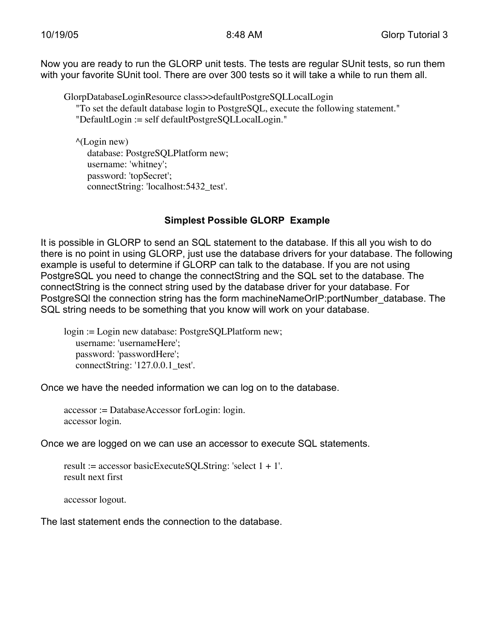Now you are ready to run the GLORP unit tests. The tests are regular SUnit tests, so run them with your favorite SUnit tool. There are over 300 tests so it will take a while to run them all.

GlorpDatabaseLoginResource class>>defaultPostgreSQLLocalLogin "To set the default database login to PostgreSQL, execute the following statement." "DefaultLogin := self defaultPostgreSQLLocalLogin."

 $^{\wedge}$ (Login new) database: PostgreSQLPlatform new; username: 'whitney'; password: 'topSecret'; connectString: 'localhost:5432\_test'.

# **Simplest Possible GLORP Example**

It is possible in GLORP to send an SQL statement to the database. If this all you wish to do there is no point in using GLORP, just use the database drivers for your database. The following example is useful to determine if GLORP can talk to the database. If you are not using PostgreSQL you need to change the connectString and the SQL set to the database. The connectString is the connect string used by the database driver for your database. For PostgreSQI the connection string has the form machineNameOrIP:portNumber\_database. The SQL string needs to be something that you know will work on your database.

login := Login new database: PostgreSQLPlatform new; username: 'usernameHere'; password: 'passwordHere'; connectString: '127.0.0.1 test'.

Once we have the needed information we can log on to the database.

accessor := DatabaseAccessor forLogin: login. accessor login.

Once we are logged on we can use an accessor to execute SQL statements.

result := accessor basicExecuteSQLString: 'select  $1 + 1'$ . result next first

accessor logout.

The last statement ends the connection to the database.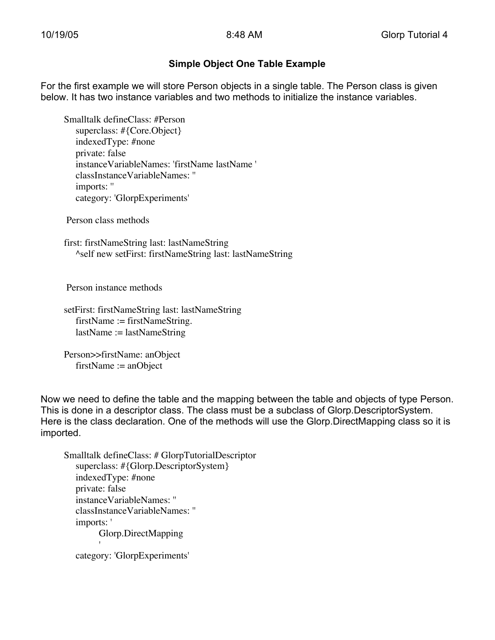### **Simple Object One Table Example**

For the first example we will store Person objects in a single table. The Person class is given below. It has two instance variables and two methods to initialize the instance variables.

Smalltalk defineClass: #Person superclass: #{Core.Object} indexedType: #none private: false instanceVariableNames: 'firstName lastName ' classInstanceVariableNames: '' imports: '' category: 'GlorpExperiments'

Person class methods

first: firstNameString last: lastNameString ^self new setFirst: firstNameString last: lastNameString

Person instance methods

setFirst: firstNameString last: lastNameString firstName := firstNameString. lastName := lastNameString

Person>>firstName: anObject firstName := anObject

Now we need to define the table and the mapping between the table and objects of type Person. This is done in a descriptor class. The class must be a subclass of Glorp.DescriptorSystem. Here is the class declaration. One of the methods will use the Glorp.DirectMapping class so it is imported.

Smalltalk defineClass: # GlorpTutorialDescriptor superclass: #{Glorp.DescriptorSystem} indexedType: #none private: false instanceVariableNames: '' classInstanceVariableNames: '' imports: ' Glorp.DirectMapping '

category: 'GlorpExperiments'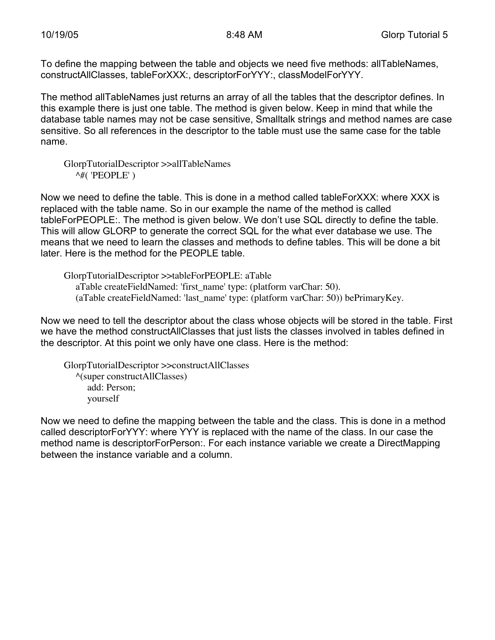To define the mapping between the table and objects we need five methods: allTableNames, constructAllClasses, tableForXXX:, descriptorForYYY:, classModelForYYY.

The method allTableNames just returns an array of all the tables that the descriptor defines. In this example there is just one table. The method is given below. Keep in mind that while the database table names may not be case sensitive, Smalltalk strings and method names are case sensitive. So all references in the descriptor to the table must use the same case for the table name.

GlorpTutorialDescriptor >>allTableNames  $\land$ #('PEOPLE')

Now we need to define the table. This is done in a method called tableForXXX: where XXX is replaced with the table name. So in our example the name of the method is called tableForPEOPLE:. The method is given below. We don't use SQL directly to define the table. This will allow GLORP to generate the correct SQL for the what ever database we use. The means that we need to learn the classes and methods to define tables. This will be done a bit later. Here is the method for the PEOPLE table.

GlorpTutorialDescriptor >>tableForPEOPLE: aTable aTable createFieldNamed: 'first\_name' type: (platform varChar: 50). (aTable createFieldNamed: 'last\_name' type: (platform varChar: 50)) bePrimaryKey.

Now we need to tell the descriptor about the class whose objects will be stored in the table. First we have the method constructAllClasses that just lists the classes involved in tables defined in the descriptor. At this point we only have one class. Here is the method:

GlorpTutorialDescriptor >>constructAllClasses ^(super constructAllClasses) add: Person; yourself

Now we need to define the mapping between the table and the class. This is done in a method called descriptorForYYY: where YYY is replaced with the name of the class. In our case the method name is descriptorForPerson:. For each instance variable we create a DirectMapping between the instance variable and a column.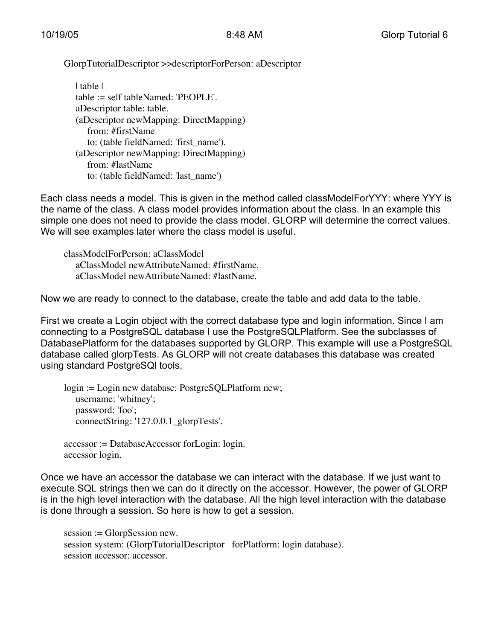GlorpTutorialDescriptor >>descriptorForPerson: aDescriptor

| table | table := self tableNamed: 'PEOPLE'. aDescriptor table: table. (aDescriptor newMapping: DirectMapping) from: #firstName to: (table fieldNamed: 'first\_name'). (aDescriptor newMapping: DirectMapping) from: #lastName to: (table fieldNamed: 'last\_name')

Each class needs a model. This is given in the method called classModelForYYY: where YYY is the name of the class. A class model provides information about the class. In an example this simple one does not need to provide the class model. GLORP will determine the correct values. We will see examples later where the class model is useful.

classModelForPerson: aClassModel aClassModel newAttributeNamed: #firstName. aClassModel newAttributeNamed: #lastName.

Now we are ready to connect to the database, create the table and add data to the table.

First we create a Login object with the correct database type and login information. Since I am connecting to a PostgreSQL database I use the PostgreSQLPlatform. See the subclasses of DatabasePlatform for the databases supported by GLORP. This example will use a PostgreSQL database called glorpTests. As GLORP will not create databases this database was created using standard PostgreSQl tools.

login := Login new database: PostgreSQLPlatform new; username: 'whitney'; password: 'foo'; connectString: '127.0.0.1\_glorpTests'.

accessor := DatabaseAccessor forLogin: login. accessor login.

Once we have an accessor the database we can interact with the database. If we just want to execute SQL strings then we can do it directly on the accessor. However, the power of GLORP is in the high level interaction with the database. All the high level interaction with the database is done through a session. So here is how to get a session.

session := GlorpSession new. session system: (GlorpTutorialDescriptor forPlatform: login database). session accessor: accessor.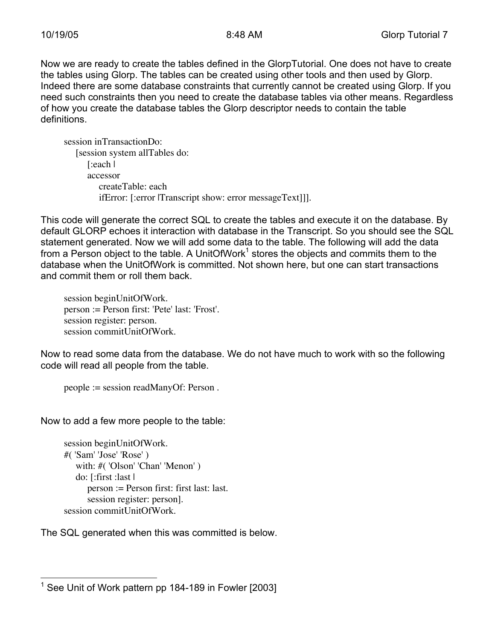Now we are ready to create the tables defined in the GlorpTutorial. One does not have to create the tables using Glorp. The tables can be created using other tools and then used by Glorp. Indeed there are some database constraints that currently cannot be created using Glorp. If you need such constraints then you need to create the database tables via other means. Regardless of how you create the database tables the Glorp descriptor needs to contain the table definitions.

session inTransactionDo: [session system allTables do: [:each | accessor createTable: each ifError: [:error |Transcript show: error messageText]]].

This code will generate the correct SQL to create the tables and execute it on the database. By default GLORP echoes it interaction with database in the Transcript. So you should see the SQL statement generated. Now we will add some data to the table. The following will add the data from a Person object to the table. A UnitOfWork<sup>1</sup> stores the objects and commits them to the database when the UnitOfWork is committed. Not shown here, but one can start transactions and commit them or roll them back.

session beginUnitOfWork. person := Person first: 'Pete' last: 'Frost'. session register: person. session commitUnitOfWork.

Now to read some data from the database. We do not have much to work with so the following code will read all people from the table.

```
people := session readManyOf: Person .
```
Now to add a few more people to the table:

```
session beginUnitOfWork.
#( 'Sam' 'Jose' 'Rose' )
   with: #('Olson' 'Chan' 'Menon')
   do: [:first :last |
      person := Person first: first last: last.
      session register: person].
session commitUnitOfWork.
```
The SQL generated when this was committed is below.

 $\frac{1}{1}$ See Unit of Work pattern pp 184-189 in Fowler [2003]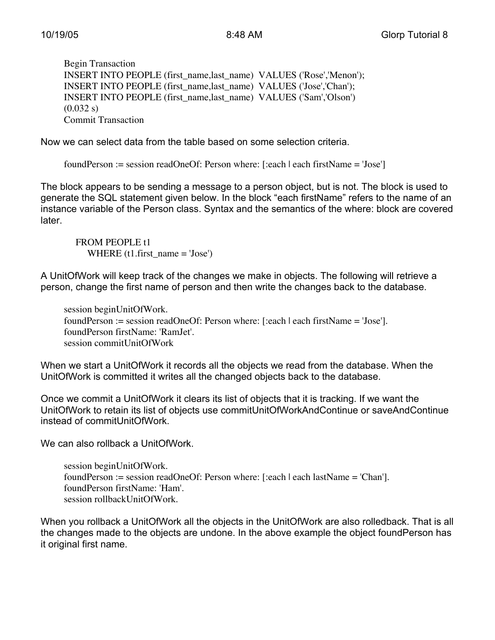Begin Transaction INSERT INTO PEOPLE (first\_name,last\_name) VALUES ('Rose','Menon'); INSERT INTO PEOPLE (first\_name,last\_name) VALUES ('Jose','Chan'); INSERT INTO PEOPLE (first\_name,last\_name) VALUES ('Sam','Olson')  $(0.032 s)$ Commit Transaction

Now we can select data from the table based on some selection criteria.

foundPerson := session readOneOf: Person where: [:each | each firstName = 'Jose']

The block appears to be sending a message to a person object, but is not. The block is used to generate the SQL statement given below. In the block "each firstName" refers to the name of an instance variable of the Person class. Syntax and the semantics of the where: block are covered later.

FROM PEOPLE t1 WHERE  $(t1$ .first\_name = 'Jose')

A UnitOfWork will keep track of the changes we make in objects. The following will retrieve a person, change the first name of person and then write the changes back to the database.

session beginUnitOfWork. foundPerson := session readOneOf: Person where: [:each | each firstName = 'Jose']. foundPerson firstName: 'RamJet'. session commitUnitOfWork

When we start a UnitOfWork it records all the objects we read from the database. When the UnitOfWork is committed it writes all the changed objects back to the database.

Once we commit a UnitOfWork it clears its list of objects that it is tracking. If we want the UnitOfWork to retain its list of objects use commitUnitOfWorkAndContinue or saveAndContinue instead of commitUnitOfWork

We can also rollback a UnitOfWork.

session beginUnitOfWork. foundPerson := session readOneOf: Person where: [:each | each lastName = 'Chan']. foundPerson firstName: 'Ham'. session rollbackUnitOfWork.

When you rollback a UnitOfWork all the objects in the UnitOfWork are also rolledback. That is all the changes made to the objects are undone. In the above example the object foundPerson has it original first name.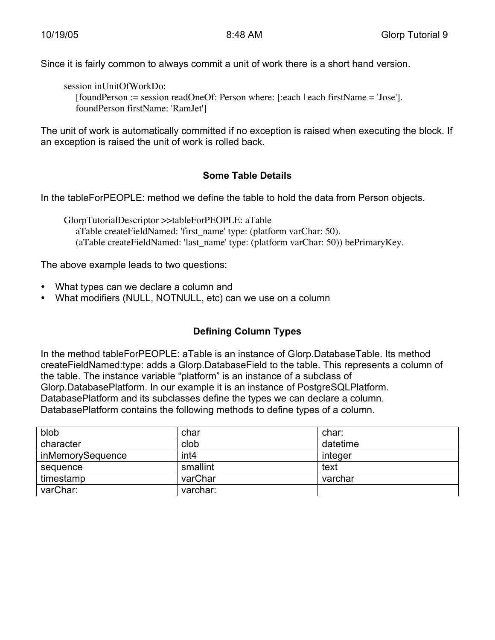Since it is fairly common to always commit a unit of work there is a short hand version.

session inUnitOfWorkDo:

[foundPerson := session readOneOf: Person where: [:each | each firstName = 'Jose']. foundPerson firstName: 'RamJet']

The unit of work is automatically committed if no exception is raised when executing the block. If an exception is raised the unit of work is rolled back.

#### **Some Table Details**

In the tableForPEOPLE: method we define the table to hold the data from Person objects.

GlorpTutorialDescriptor >>tableForPEOPLE: aTable aTable createFieldNamed: 'first\_name' type: (platform varChar: 50). (aTable createFieldNamed: 'last\_name' type: (platform varChar: 50)) bePrimaryKey.

The above example leads to two questions:

- What types can we declare a column and
- What modifiers (NULL, NOTNULL, etc) can we use on a column

# **Defining Column Types**

In the method tableForPEOPLE: aTable is an instance of Glorp.DatabaseTable. Its method createFieldNamed:type: adds a Glorp.DatabaseField to the table. This represents a column of the table. The instance variable "platform" is an instance of a subclass of Glorp.DatabasePlatform. In our example it is an instance of PostgreSQLPlatform. DatabasePlatform and its subclasses define the types we can declare a column. DatabasePlatform contains the following methods to define types of a column.

| blob             | char             | char:    |
|------------------|------------------|----------|
| character        | clob             | datetime |
| inMemorySequence | int <sub>4</sub> | integer  |
| sequence         | smallint         | text     |
| timestamp        | varChar          | varchar  |
| varChar:         | varchar:         |          |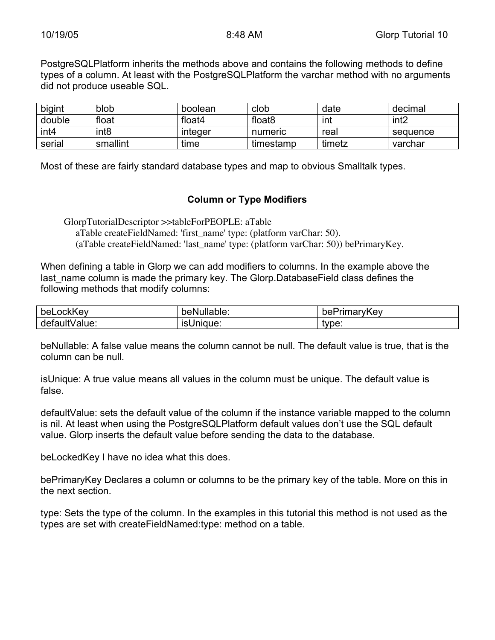PostgreSQLPlatform inherits the methods above and contains the following methods to define types of a column. At least with the PostgreSQLPlatform the varchar method with no arguments did not produce useable SQL.

| bigint           | blob             | boolean | clob               | date   | decimal          |
|------------------|------------------|---------|--------------------|--------|------------------|
| double           | float            | float4  | float <sub>8</sub> | ınt    | int <sub>2</sub> |
| int <sub>4</sub> | int <sub>8</sub> | integer | numeric            | real   | sequence         |
| serial           | smallint         | time    | timestamp          | timetz | varchar          |

Most of these are fairly standard database types and map to obvious Smalltalk types.

#### **Column or Type Modifiers**

GlorpTutorialDescriptor >>tableForPEOPLE: aTable

aTable createFieldNamed: 'first\_name' type: (platform varChar: 50).

(aTable createFieldNamed: 'last\_name' type: (platform varChar: 50)) bePrimaryKey.

When defining a table in Glorp we can add modifiers to columns. In the example above the last name column is made the primary key. The Glorp.DatabaseField class defines the following methods that modify columns:

| bel           | eNullable:       | <sup>ว</sup> rimarvKev |
|---------------|------------------|------------------------|
| _ockKev       | pe⊦              | bel                    |
| defaultValue: | <b>ISUNIQUE:</b> | tvpe:                  |

beNullable: A false value means the column cannot be null. The default value is true, that is the column can be null.

isUnique: A true value means all values in the column must be unique. The default value is false.

defaultValue: sets the default value of the column if the instance variable mapped to the column is nil. At least when using the PostgreSQLPlatform default values don't use the SQL default value. Glorp inserts the default value before sending the data to the database.

beLockedKey I have no idea what this does.

bePrimaryKey Declares a column or columns to be the primary key of the table. More on this in the next section.

type: Sets the type of the column. In the examples in this tutorial this method is not used as the types are set with createFieldNamed:type: method on a table.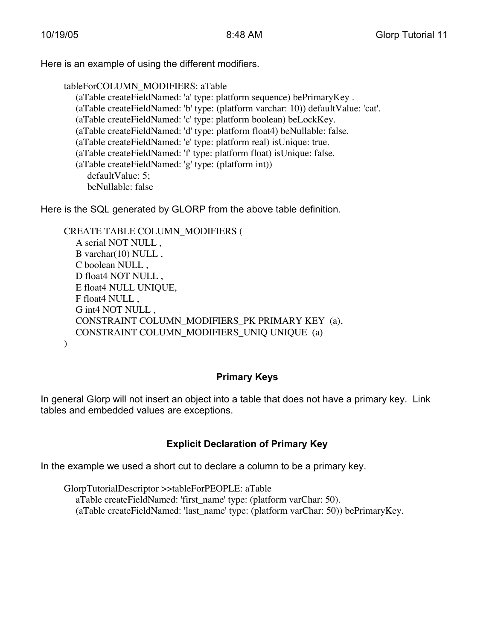Here is an example of using the different modifiers.

tableForCOLUMN\_MODIFIERS: aTable

(aTable createFieldNamed: 'a' type: platform sequence) bePrimaryKey . (aTable createFieldNamed: 'b' type: (platform varchar: 10)) defaultValue: 'cat'. (aTable createFieldNamed: 'c' type: platform boolean) beLockKey. (aTable createFieldNamed: 'd' type: platform float4) beNullable: false. (aTable createFieldNamed: 'e' type: platform real) isUnique: true. (aTable createFieldNamed: 'f' type: platform float) isUnique: false. (aTable createFieldNamed: 'g' type: (platform int)) defaultValue: 5; beNullable: false

Here is the SQL generated by GLORP from the above table definition.

CREATE TABLE COLUMN\_MODIFIERS ( A serial NOT NULL , B varchar(10) NULL , C boolean NULL , D float4 NOT NULL , E float4 NULL UNIQUE, F float4 NULL , G int4 NOT NULL , CONSTRAINT COLUMN\_MODIFIERS\_PK PRIMARY KEY (a), CONSTRAINT COLUMN\_MODIFIERS\_UNIQ UNIQUE (a)  $\lambda$ 

#### **Primary Keys**

In general Glorp will not insert an object into a table that does not have a primary key. Link tables and embedded values are exceptions.

# **Explicit Declaration of Primary Key**

In the example we used a short cut to declare a column to be a primary key.

GlorpTutorialDescriptor >>tableForPEOPLE: aTable aTable createFieldNamed: 'first\_name' type: (platform varChar: 50). (aTable createFieldNamed: 'last\_name' type: (platform varChar: 50)) bePrimaryKey.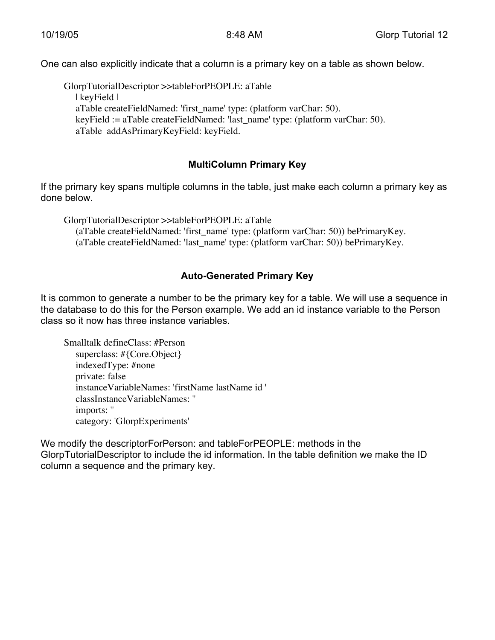One can also explicitly indicate that a column is a primary key on a table as shown below.

GlorpTutorialDescriptor >>tableForPEOPLE: aTable | keyField | aTable createFieldNamed: 'first\_name' type: (platform varChar: 50). keyField := aTable createFieldNamed: 'last\_name' type: (platform varChar: 50). aTable addAsPrimaryKeyField: keyField.

### **MultiColumn Primary Key**

If the primary key spans multiple columns in the table, just make each column a primary key as done below.

GlorpTutorialDescriptor >>tableForPEOPLE: aTable (aTable createFieldNamed: 'first\_name' type: (platform varChar: 50)) bePrimaryKey. (aTable createFieldNamed: 'last\_name' type: (platform varChar: 50)) bePrimaryKey.

# **Auto-Generated Primary Key**

It is common to generate a number to be the primary key for a table. We will use a sequence in the database to do this for the Person example. We add an id instance variable to the Person class so it now has three instance variables.

Smalltalk defineClass: #Person superclass: #{Core.Object} indexedType: #none private: false instanceVariableNames: 'firstName lastName id ' classInstanceVariableNames: '' imports: '' category: 'GlorpExperiments'

We modify the descriptorForPerson: and tableForPEOPLE: methods in the GlorpTutorialDescriptor to include the id information. In the table definition we make the ID column a sequence and the primary key.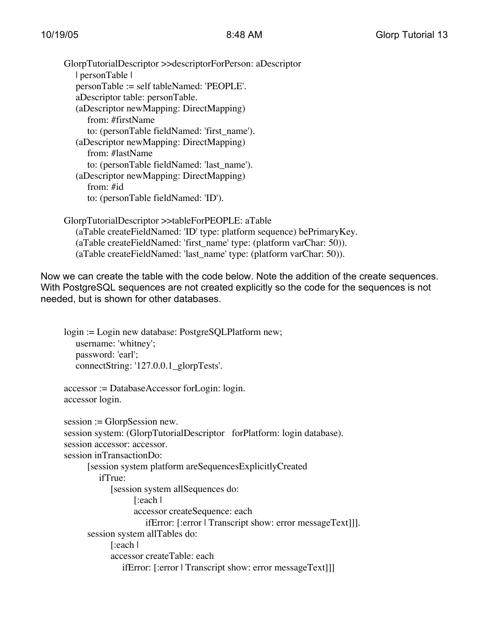GlorpTutorialDescriptor >>descriptorForPerson: aDescriptor | personTable | personTable := self tableNamed: 'PEOPLE'. aDescriptor table: personTable. (aDescriptor newMapping: DirectMapping) from: #firstName to: (personTable fieldNamed: 'first\_name'). (aDescriptor newMapping: DirectMapping) from: #lastName to: (personTable fieldNamed: 'last\_name'). (aDescriptor newMapping: DirectMapping) from: #id to: (personTable fieldNamed: 'ID').

GlorpTutorialDescriptor >>tableForPEOPLE: aTable (aTable createFieldNamed: 'ID' type: platform sequence) bePrimaryKey. (aTable createFieldNamed: 'first\_name' type: (platform varChar: 50)). (aTable createFieldNamed: 'last\_name' type: (platform varChar: 50)).

Now we can create the table with the code below. Note the addition of the create sequences. With PostgreSQL sequences are not created explicitly so the code for the sequences is not needed, but is shown for other databases.

login := Login new database: PostgreSQLPlatform new; username: 'whitney'; password: 'earl'; connectString: '127.0.0.1\_glorpTests'. accessor := DatabaseAccessor forLogin: login. accessor login. session := GlorpSession new. session system: (GlorpTutorialDescriptor forPlatform: login database). session accessor: accessor. session inTransactionDo: [session system platform areSequencesExplicitlyCreated ifTrue: [session system allSequences do: [:each | accessor createSequence: each

ifError: [:error | Transcript show: error messageText]]].

session system allTables do: [:each |

accessor createTable: each

ifError: [:error | Transcript show: error messageText]]]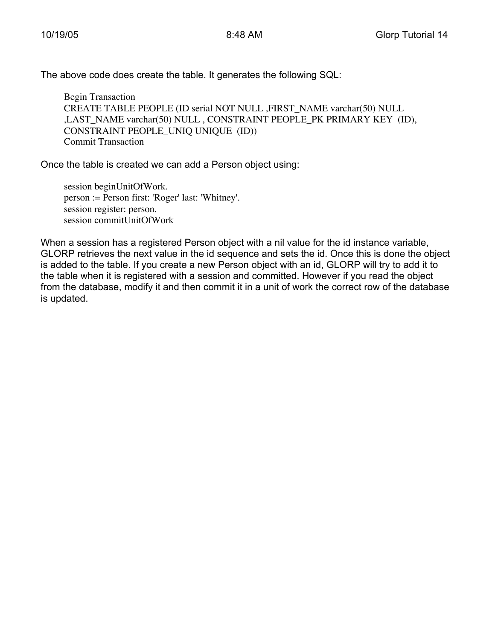The above code does create the table. It generates the following SQL:

Begin Transaction CREATE TABLE PEOPLE (ID serial NOT NULL ,FIRST\_NAME varchar(50) NULL ,LAST\_NAME varchar(50) NULL , CONSTRAINT PEOPLE\_PK PRIMARY KEY (ID), CONSTRAINT PEOPLE\_UNIQ UNIQUE (ID)) Commit Transaction

Once the table is created we can add a Person object using:

session beginUnitOfWork. person := Person first: 'Roger' last: 'Whitney'. session register: person. session commitUnitOfWork

When a session has a registered Person object with a nil value for the id instance variable, GLORP retrieves the next value in the id sequence and sets the id. Once this is done the object is added to the table. If you create a new Person object with an id, GLORP will try to add it to the table when it is registered with a session and committed. However if you read the object from the database, modify it and then commit it in a unit of work the correct row of the database is updated.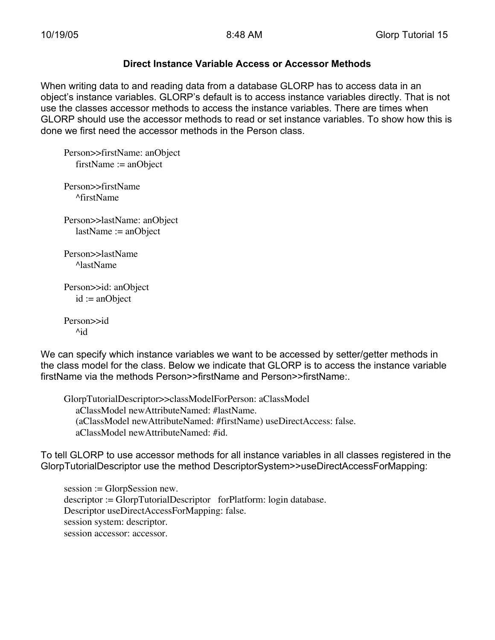#### **Direct Instance Variable Access or Accessor Methods**

When writing data to and reading data from a database GLORP has to access data in an object's instance variables. GLORP's default is to access instance variables directly. That is not use the classes accessor methods to access the instance variables. There are times when GLORP should use the accessor methods to read or set instance variables. To show how this is done we first need the accessor methods in the Person class.

Person>>firstName: anObject firstName := anObject

Person>>firstName ^firstName

Person>>lastName: anObject lastName := anObject

Person>>lastName ^lastName

Person>>id: anObject id := anObject

Person>>id ^id

We can specify which instance variables we want to be accessed by setter/getter methods in the class model for the class. Below we indicate that GLORP is to access the instance variable firstName via the methods Person>>firstName and Person>>firstName:.

GlorpTutorialDescriptor>>classModelForPerson: aClassModel aClassModel newAttributeNamed: #lastName. (aClassModel newAttributeNamed: #firstName) useDirectAccess: false. aClassModel newAttributeNamed: #id.

To tell GLORP to use accessor methods for all instance variables in all classes registered in the GlorpTutorialDescriptor use the method DescriptorSystem>>useDirectAccessForMapping:

session := GlorpSession new. descriptor := GlorpTutorialDescriptor forPlatform: login database. Descriptor useDirectAccessForMapping: false. session system: descriptor. session accessor: accessor.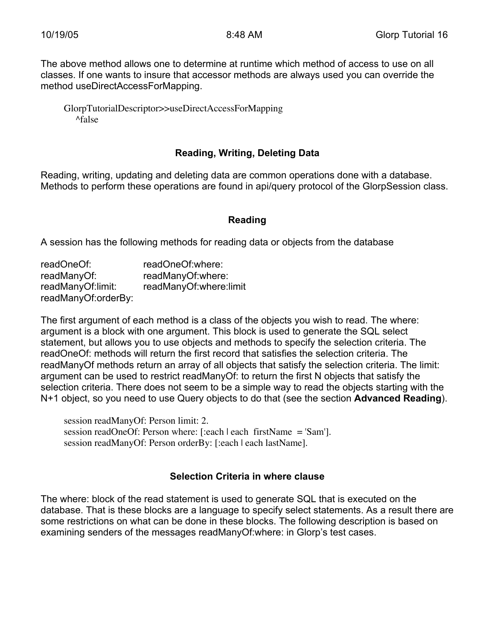The above method allows one to determine at runtime which method of access to use on all classes. If one wants to insure that accessor methods are always used you can override the method useDirectAccessForMapping.

GlorpTutorialDescriptor>>useDirectAccessForMapping ^false

#### **Reading, Writing, Deleting Data**

Reading, writing, updating and deleting data are common operations done with a database. Methods to perform these operations are found in api/query protocol of the GlorpSession class.

#### **Reading**

A session has the following methods for reading data or objects from the database

| readOneOf:          | readOneOf:where:       |
|---------------------|------------------------|
| readManyOf:         | readManyOf:where:      |
| readManyOf:limit:   | readManyOf:where:limit |
| readManyOf:orderBy: |                        |

The first argument of each method is a class of the objects you wish to read. The where: argument is a block with one argument. This block is used to generate the SQL select statement, but allows you to use objects and methods to specify the selection criteria. The readOneOf: methods will return the first record that satisfies the selection criteria. The readManyOf methods return an array of all objects that satisfy the selection criteria. The limit: argument can be used to restrict readManyOf: to return the first N objects that satisfy the selection criteria. There does not seem to be a simple way to read the objects starting with the N+1 object, so you need to use Query objects to do that (see the section **Advanced Reading**).

session readManyOf: Person limit: 2. session readOneOf: Person where: [:each | each firstName = 'Sam']. session readManyOf: Person orderBy: [:each | each lastName].

#### **Selection Criteria in where clause**

The where: block of the read statement is used to generate SQL that is executed on the database. That is these blocks are a language to specify select statements. As a result there are some restrictions on what can be done in these blocks. The following description is based on examining senders of the messages readManyOf:where: in Glorp's test cases.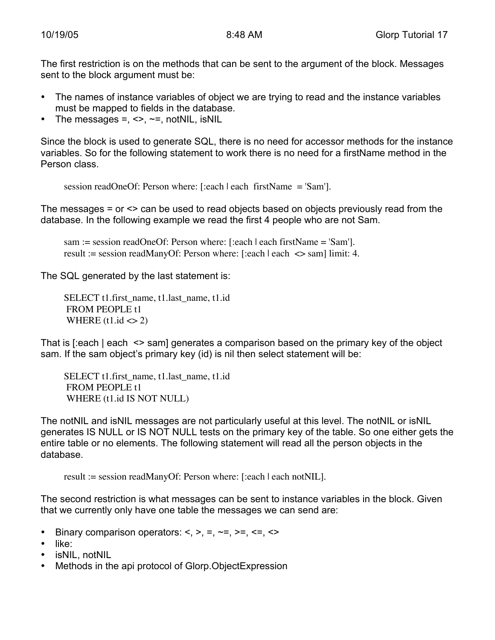The first restriction is on the methods that can be sent to the argument of the block. Messages sent to the block argument must be:

- The names of instance variables of object we are trying to read and the instance variables must be mapped to fields in the database.
- The messages =,  $\leq$ ,  $\sim$ =, notNIL, isNIL

Since the block is used to generate SQL, there is no need for accessor methods for the instance variables. So for the following statement to work there is no need for a firstName method in the Person class.

session readOneOf: Person where: [:each | each firstName = 'Sam'].

The messages = or <> can be used to read objects based on objects previously read from the database. In the following example we read the first 4 people who are not Sam.

sam := session readOneOf: Person where: [:each | each firstName = 'Sam']. result := session readManyOf: Person where: [:each | each <> sam] limit: 4.

The SQL generated by the last statement is:

SELECT t1.first\_name, t1.last\_name, t1.id FROM PEOPLE t1 WHERE  $(t1.id \ll 2)$ 

That is [:each | each <> sam] generates a comparison based on the primary key of the object sam. If the sam object's primary key (id) is nil then select statement will be:

SELECT t1.first\_name, t1.last\_name, t1.id FROM PEOPLE t1 WHERE (t1.id IS NOT NULL)

The notNIL and isNIL messages are not particularly useful at this level. The notNIL or isNIL generates IS NULL or IS NOT NULL tests on the primary key of the table. So one either gets the entire table or no elements. The following statement will read all the person objects in the database.

result := session readManyOf: Person where: [:each | each notNIL].

The second restriction is what messages can be sent to instance variables in the block. Given that we currently only have one table the messages we can send are:

- Binary comparison operators:  $\lt$ ,  $\gt$ ,  $\lt$ ,  $\lt$   $\lt$ ,  $\lt$   $\lt$ ,  $\lt$
- like:
- isNIL, notNIL
- Methods in the api protocol of Glorp. Object Expression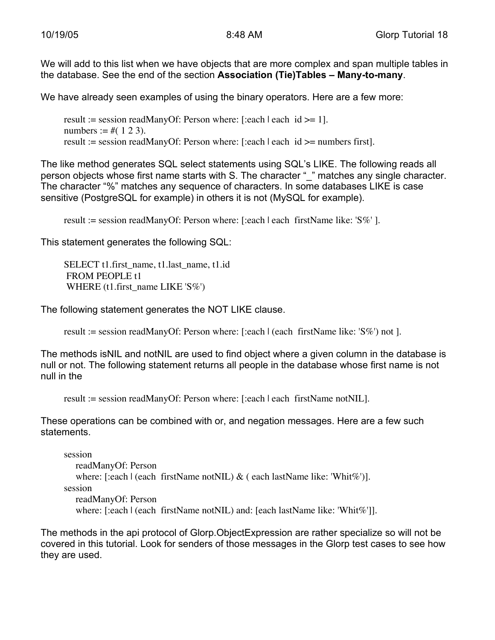We will add to this list when we have objects that are more complex and span multiple tables in the database. See the end of the section **Association (Tie)Tables – Many-to-many**.

We have already seen examples of using the binary operators. Here are a few more:

result := session readManyOf: Person where: [:each | each  $id \ge 1$ ]. numbers :=  $\#(1\ 2\ 3)$ . result := session readManyOf: Person where: [:each | each id >= numbers first].

The like method generates SQL select statements using SQL's LIKE. The following reads all person objects whose first name starts with S. The character " " matches any single character. The character "%" matches any sequence of characters. In some databases LIKE is case sensitive (PostgreSQL for example) in others it is not (MySQL for example).

result := session readManyOf: Person where: [:each | each firstName like: 'S%' ].

This statement generates the following SQL:

SELECT t1.first\_name, t1.last\_name, t1.id FROM PEOPLE t1 WHERE (t1.first\_name LIKE 'S%')

The following statement generates the NOT LIKE clause.

result := session readManyOf: Person where: [:each | (each firstName like: 'S%') not ].

The methods isNIL and notNIL are used to find object where a given column in the database is null or not. The following statement returns all people in the database whose first name is not null in the

```
result := session readManyOf: Person where: [:each | each firstName notNIL].
```
These operations can be combined with or, and negation messages. Here are a few such statements.

session

readManyOf: Person where:  $[!each | (each firstName not NIL) & (each lastName like: 'Whit\%')]$ . session readManyOf: Person where: [:each | (each firstName notNIL) and: [each lastName like: 'Whit%']].

The methods in the api protocol of Glorp.ObjectExpression are rather specialize so will not be covered in this tutorial. Look for senders of those messages in the Glorp test cases to see how they are used.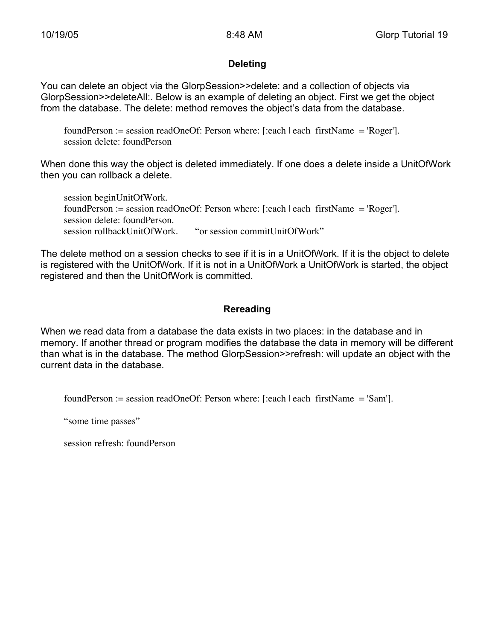#### **Deleting**

You can delete an object via the GlorpSession>>delete: and a collection of objects via GlorpSession>>deleteAll:. Below is an example of deleting an object. First we get the object from the database. The delete: method removes the object's data from the database.

foundPerson := session readOneOf: Person where: [:each | each firstName = 'Roger']. session delete: foundPerson

When done this way the object is deleted immediately. If one does a delete inside a UnitOfWork then you can rollback a delete.

session beginUnitOfWork. foundPerson := session readOneOf: Person where: [:each | each firstName = 'Roger']. session delete: foundPerson. session rollbackUnitOfWork. "or session commitUnitOfWork"

The delete method on a session checks to see if it is in a UnitOfWork. If it is the object to delete is registered with the UnitOfWork. If it is not in a UnitOfWork a UnitOfWork is started, the object registered and then the UnitOfWork is committed.

#### **Rereading**

When we read data from a database the data exists in two places: in the database and in memory. If another thread or program modifies the database the data in memory will be different than what is in the database. The method GlorpSession>>refresh: will update an object with the current data in the database.

foundPerson := session readOneOf: Person where: [:each | each firstName = 'Sam'].

"some time passes"

session refresh: foundPerson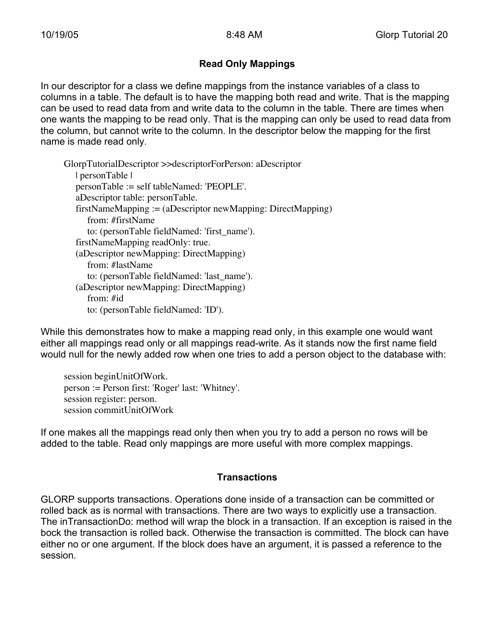### **Read Only Mappings**

In our descriptor for a class we define mappings from the instance variables of a class to columns in a table. The default is to have the mapping both read and write. That is the mapping can be used to read data from and write data to the column in the table. There are times when one wants the mapping to be read only. That is the mapping can only be used to read data from the column, but cannot write to the column. In the descriptor below the mapping for the first name is made read only.

GlorpTutorialDescriptor >>descriptorForPerson: aDescriptor | personTable | personTable := self tableNamed: 'PEOPLE'. aDescriptor table: personTable. firstNameMapping := (aDescriptor newMapping: DirectMapping) from: #firstName to: (personTable fieldNamed: 'first\_name'). firstNameMapping readOnly: true. (aDescriptor newMapping: DirectMapping) from: #lastName to: (personTable fieldNamed: 'last\_name'). (aDescriptor newMapping: DirectMapping) from: #id to: (personTable fieldNamed: 'ID').

While this demonstrates how to make a mapping read only, in this example one would want either all mappings read only or all mappings read-write. As it stands now the first name field would null for the newly added row when one tries to add a person object to the database with:

session beginUnitOfWork. person := Person first: 'Roger' last: 'Whitney'. session register: person. session commitUnitOfWork

If one makes all the mappings read only then when you try to add a person no rows will be added to the table. Read only mappings are more useful with more complex mappings.

#### **Transactions**

GLORP supports transactions. Operations done inside of a transaction can be committed or rolled back as is normal with transactions. There are two ways to explicitly use a transaction. The inTransactionDo: method will wrap the block in a transaction. If an exception is raised in the bock the transaction is rolled back. Otherwise the transaction is committed. The block can have either no or one argument. If the block does have an argument, it is passed a reference to the session.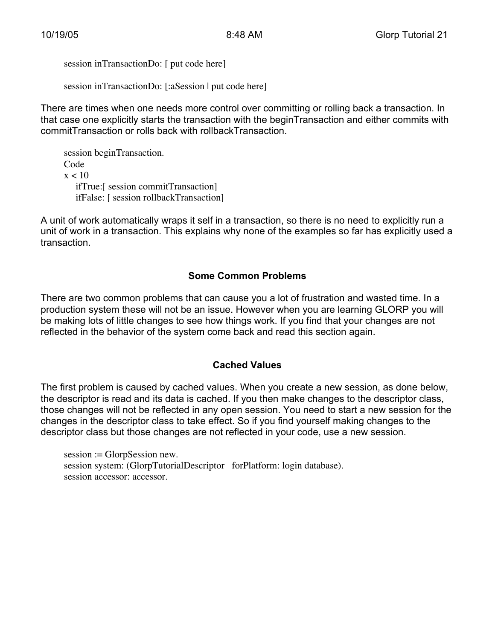session inTransactionDo: [ put code here]

session inTransactionDo: [:aSession | put code here]

There are times when one needs more control over committing or rolling back a transaction. In that case one explicitly starts the transaction with the beginTransaction and either commits with commitTransaction or rolls back with rollbackTransaction.

session beginTransaction. Code  $x < 10$ ifTrue:[ session commitTransaction] ifFalse: [ session rollbackTransaction]

A unit of work automatically wraps it self in a transaction, so there is no need to explicitly run a unit of work in a transaction. This explains why none of the examples so far has explicitly used a transaction.

### **Some Common Problems**

There are two common problems that can cause you a lot of frustration and wasted time. In a production system these will not be an issue. However when you are learning GLORP you will be making lots of little changes to see how things work. If you find that your changes are not reflected in the behavior of the system come back and read this section again.

#### **Cached Values**

The first problem is caused by cached values. When you create a new session, as done below, the descriptor is read and its data is cached. If you then make changes to the descriptor class, those changes will not be reflected in any open session. You need to start a new session for the changes in the descriptor class to take effect. So if you find yourself making changes to the descriptor class but those changes are not reflected in your code, use a new session.

session := GlorpSession new. session system: (GlorpTutorialDescriptor forPlatform: login database). session accessor: accessor.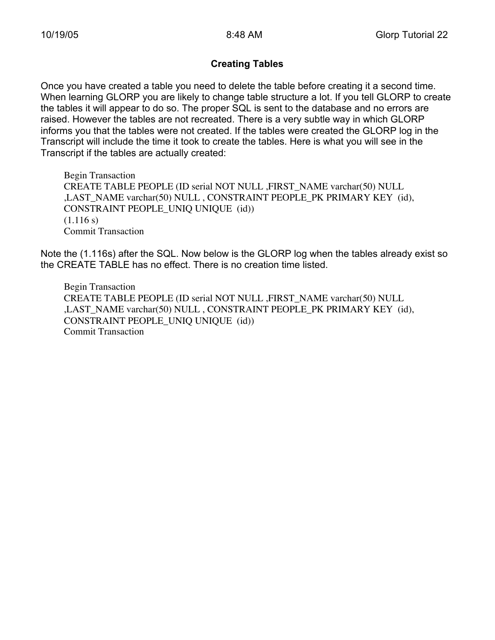#### **Creating Tables**

Once you have created a table you need to delete the table before creating it a second time. When learning GLORP you are likely to change table structure a lot. If you tell GLORP to create the tables it will appear to do so. The proper SQL is sent to the database and no errors are raised. However the tables are not recreated. There is a very subtle way in which GLORP informs you that the tables were not created. If the tables were created the GLORP log in the Transcript will include the time it took to create the tables. Here is what you will see in the Transcript if the tables are actually created:

Begin Transaction CREATE TABLE PEOPLE (ID serial NOT NULL ,FIRST\_NAME varchar(50) NULL ,LAST\_NAME varchar(50) NULL , CONSTRAINT PEOPLE\_PK PRIMARY KEY (id), CONSTRAINT PEOPLE\_UNIQ UNIQUE (id))  $(1.116 s)$ Commit Transaction

Note the (1.116s) after the SQL. Now below is the GLORP log when the tables already exist so the CREATE TABLE has no effect. There is no creation time listed.

Begin Transaction CREATE TABLE PEOPLE (ID serial NOT NULL ,FIRST\_NAME varchar(50) NULL ,LAST\_NAME varchar(50) NULL , CONSTRAINT PEOPLE\_PK PRIMARY KEY (id), CONSTRAINT PEOPLE\_UNIQ UNIQUE (id)) Commit Transaction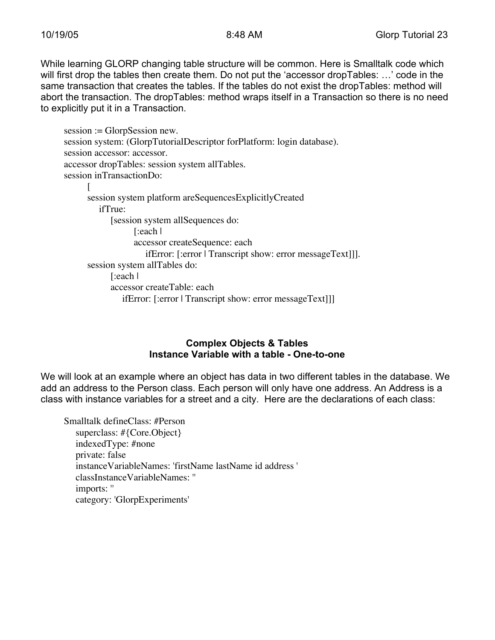While learning GLORP changing table structure will be common. Here is Smalltalk code which will first drop the tables then create them. Do not put the 'accessor dropTables: …' code in the same transaction that creates the tables. If the tables do not exist the dropTables: method will abort the transaction. The dropTables: method wraps itself in a Transaction so there is no need to explicitly put it in a Transaction.

```
session := GlorpSession new.
session system: (GlorpTutorialDescriptor forPlatform: login database).
session accessor: accessor.
accessor dropTables: session system allTables.
session inTransactionDo:
     \lceilsession system platform areSequencesExplicitlyCreated
        ifTrue:
           [session system allSequences do:
                 [:each |
                  accessor createSequence: each
                     ifError: [:error | Transcript show: error messageText]]].
      session system allTables do:
           [:each |
            accessor createTable: each
               ifError: [:error | Transcript show: error messageText]]]
```
#### **Complex Objects & Tables Instance Variable with a table - One-to-one**

We will look at an example where an object has data in two different tables in the database. We add an address to the Person class. Each person will only have one address. An Address is a class with instance variables for a street and a city. Here are the declarations of each class:

Smalltalk defineClass: #Person superclass: #{Core.Object} indexedType: #none private: false instanceVariableNames: 'firstName lastName id address ' classInstanceVariableNames: '' imports: '' category: 'GlorpExperiments'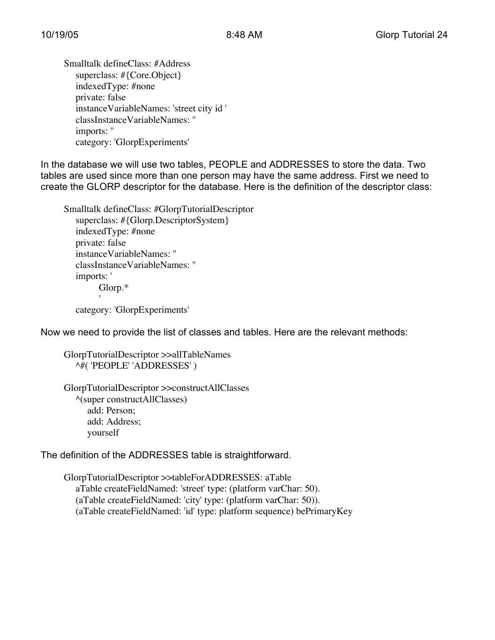Smalltalk defineClass: #Address superclass: #{Core.Object} indexedType: #none private: false instanceVariableNames: 'street city id ' classInstanceVariableNames: '' imports: '' category: 'GlorpExperiments'

In the database we will use two tables, PEOPLE and ADDRESSES to store the data. Two tables are used since more than one person may have the same address. First we need to create the GLORP descriptor for the database. Here is the definition of the descriptor class:

Smalltalk defineClass: #GlorpTutorialDescriptor superclass: #{Glorp.DescriptorSystem} indexedType: #none private: false instanceVariableNames: '' classInstanceVariableNames: '' imports: ' Glorp.\* 'category: 'GlorpExperiments'

Now we need to provide the list of classes and tables. Here are the relevant methods:

GlorpTutorialDescriptor >>allTableNames ^#( 'PEOPLE' 'ADDRESSES' )

GlorpTutorialDescriptor >>constructAllClasses ^(super constructAllClasses) add: Person; add: Address; yourself

The definition of the ADDRESSES table is straightforward.

GlorpTutorialDescriptor >>tableForADDRESSES: aTable aTable createFieldNamed: 'street' type: (platform varChar: 50). (aTable createFieldNamed: 'city' type: (platform varChar: 50)). (aTable createFieldNamed: 'id' type: platform sequence) bePrimaryKey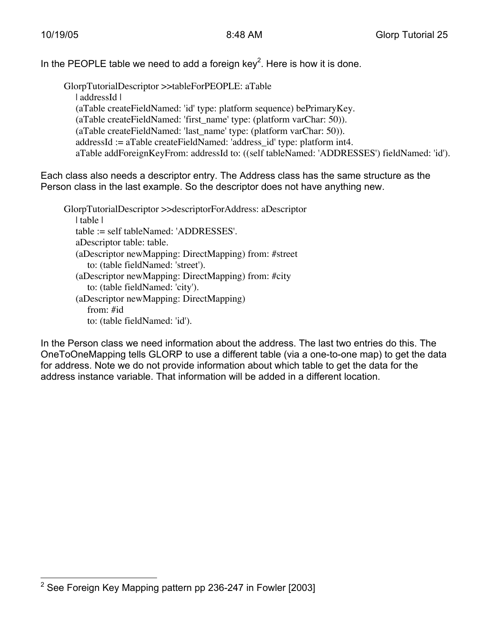In the PEOPLE table we need to add a foreign key<sup>2</sup>. Here is how it is done.

GlorpTutorialDescriptor >>tableForPEOPLE: aTable | addressId | (aTable createFieldNamed: 'id' type: platform sequence) bePrimaryKey. (aTable createFieldNamed: 'first\_name' type: (platform varChar: 50)). (aTable createFieldNamed: 'last\_name' type: (platform varChar: 50)). addressId := aTable createFieldNamed: 'address\_id' type: platform int4. aTable addForeignKeyFrom: addressId to: ((self tableNamed: 'ADDRESSES') fieldNamed: 'id').

Each class also needs a descriptor entry. The Address class has the same structure as the Person class in the last example. So the descriptor does not have anything new.

GlorpTutorialDescriptor >>descriptorForAddress: aDescriptor | table | table := self tableNamed: 'ADDRESSES'. aDescriptor table: table. (aDescriptor newMapping: DirectMapping) from: #street to: (table fieldNamed: 'street'). (aDescriptor newMapping: DirectMapping) from: #city to: (table fieldNamed: 'city'). (aDescriptor newMapping: DirectMapping) from: #id to: (table fieldNamed: 'id').

In the Person class we need information about the address. The last two entries do this. The OneToOneMapping tells GLORP to use a different table (via a one-to-one map) to get the data for address. Note we do not provide information about which table to get the data for the address instance variable. That information will be added in a different location.

 $\overline{2}$ See Foreign Key Mapping pattern pp 236-247 in Fowler [2003]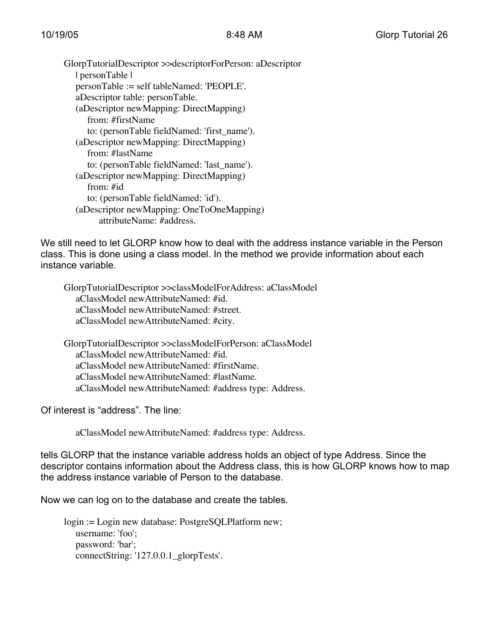GlorpTutorialDescriptor >>descriptorForPerson: aDescriptor | personTable | personTable := self tableNamed: 'PEOPLE'. aDescriptor table: personTable. (aDescriptor newMapping: DirectMapping) from: #firstName to: (personTable fieldNamed: 'first\_name'). (aDescriptor newMapping: DirectMapping) from: #lastName to: (personTable fieldNamed: 'last\_name'). (aDescriptor newMapping: DirectMapping) from: #id to: (personTable fieldNamed: 'id'). (aDescriptor newMapping: OneToOneMapping) attributeName: #address.

We still need to let GLORP know how to deal with the address instance variable in the Person class. This is done using a class model. In the method we provide information about each instance variable.

GlorpTutorialDescriptor >>classModelForAddress: aClassModel aClassModel newAttributeNamed: #id. aClassModel newAttributeNamed: #street. aClassModel newAttributeNamed: #city.

GlorpTutorialDescriptor >>classModelForPerson: aClassModel aClassModel newAttributeNamed: #id. aClassModel newAttributeNamed: #firstName. aClassModel newAttributeNamed: #lastName. aClassModel newAttributeNamed: #address type: Address.

Of interest is "address". The line:

aClassModel newAttributeNamed: #address type: Address.

tells GLORP that the instance variable address holds an object of type Address. Since the descriptor contains information about the Address class, this is how GLORP knows how to map the address instance variable of Person to the database.

Now we can log on to the database and create the tables.

login := Login new database: PostgreSQLPlatform new; username: 'foo'; password: 'bar'; connectString: '127.0.0.1\_glorpTests'.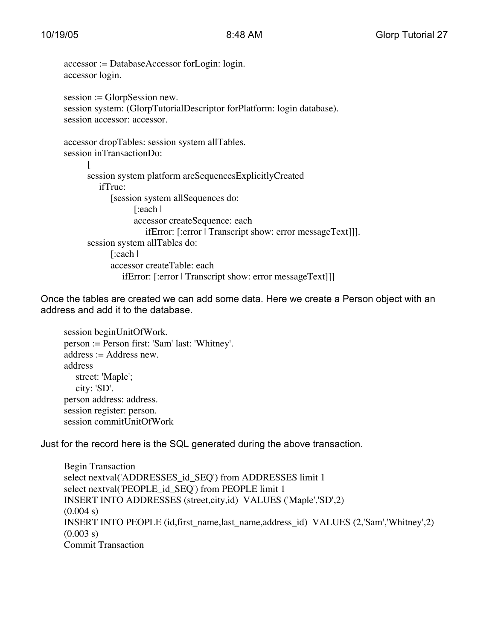```
accessor := DatabaseAccessor forLogin: login.
accessor login.
session := GlorpSession new.
session system: (GlorpTutorialDescriptor forPlatform: login database).
session accessor: accessor.
accessor dropTables: session system allTables.
session inTransactionDo:
      [
     session system platform areSequencesExplicitlyCreated
        ifTrue:
            [session system allSequences do:
                 [:each |
                 accessor createSequence: each
                    ifError: [:error | Transcript show: error messageText]]].
      session system allTables do:
           [:each |
            accessor createTable: each
              ifError: [:error | Transcript show: error messageText]]]
```
Once the tables are created we can add some data. Here we create a Person object with an address and add it to the database.

session beginUnitOfWork. person := Person first: 'Sam' last: 'Whitney'. address := Address new. address street: 'Maple'; city: 'SD'. person address: address. session register: person. session commitUnitOfWork

Just for the record here is the SQL generated during the above transaction.

Begin Transaction select nextval('ADDRESSES\_id\_SEQ') from ADDRESSES limit 1 select nextval('PEOPLE\_id\_SEQ') from PEOPLE limit 1 INSERT INTO ADDRESSES (street,city,id) VALUES ('Maple','SD',2)  $(0.004 s)$ INSERT INTO PEOPLE (id,first\_name,last\_name,address\_id) VALUES (2,'Sam','Whitney',2)  $(0.003 s)$ Commit Transaction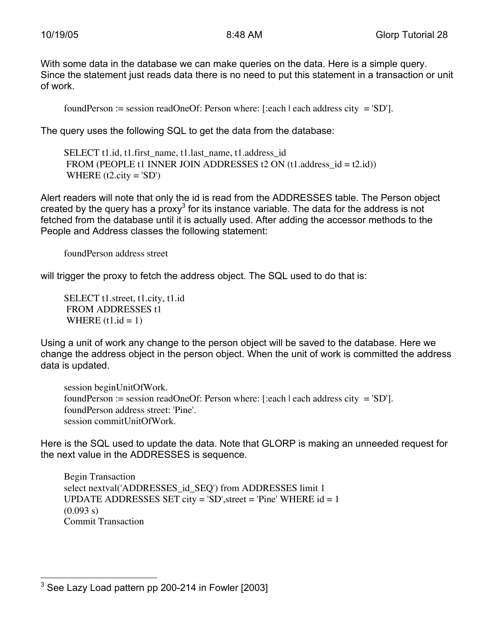With some data in the database we can make queries on the data. Here is a simple query. Since the statement just reads data there is no need to put this statement in a transaction or unit of work.

foundPerson := session readOneOf: Person where: [:each | each address city = 'SD'].

The query uses the following SQL to get the data from the database:

SELECT t1.id, t1.first\_name, t1.last\_name, t1.address\_id FROM (PEOPLE t1 INNER JOIN ADDRESSES t2 ON  $(t1$ .address  $id = t2$ .id)) WHERE  $(t2.city = 'SD')$ 

Alert readers will note that only the id is read from the ADDRESSES table. The Person object created by the query has a proxy<sup>3</sup> for its instance variable. The data for the address is not fetched from the database until it is actually used. After adding the accessor methods to the People and Address classes the following statement:

foundPerson address street

will trigger the proxy to fetch the address object. The SQL used to do that is:

SELECT t1.street, t1.city, t1.id FROM ADDRESSES t1 WHERE  $(t1.id = 1)$ 

Using a unit of work any change to the person object will be saved to the database. Here we change the address object in the person object. When the unit of work is committed the address data is updated.

session beginUnitOfWork. foundPerson := session readOneOf: Person where: [:each | each address city = 'SD']. foundPerson address street: 'Pine'. session commitUnitOfWork.

Here is the SQL used to update the data. Note that GLORP is making an unneeded request for the next value in the ADDRESSES is sequence.

Begin Transaction select nextval('ADDRESSES\_id\_SEQ') from ADDRESSES limit 1 UPDATE ADDRESSES SET city =  $SD$ ', street = 'Pine' WHERE  $id = 1$  $(0.093 s)$ Commit Transaction

<sup>—&</sup>lt;br>3 See Lazy Load pattern pp 200-214 in Fowler [2003]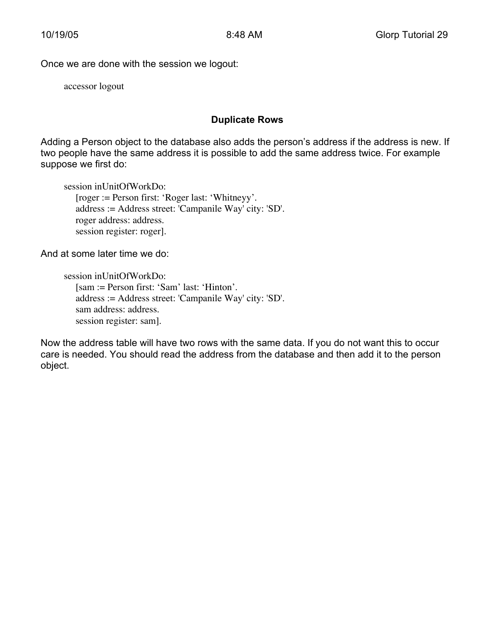Once we are done with the session we logout:

accessor logout

#### **Duplicate Rows**

Adding a Person object to the database also adds the person's address if the address is new. If two people have the same address it is possible to add the same address twice. For example suppose we first do:

session inUnitOfWorkDo: [roger := Person first: 'Roger last: 'Whitneyy'. address := Address street: 'Campanile Way' city: 'SD'. roger address: address. session register: roger].

And at some later time we do:

```
session inUnitOfWorkDo:
  [sam := Person first: 'Sam' last: 'Hinton'.
  address := Address street: 'Campanile Way' city: 'SD'.
  sam address: address.
  session register: sam].
```
Now the address table will have two rows with the same data. If you do not want this to occur care is needed. You should read the address from the database and then add it to the person object.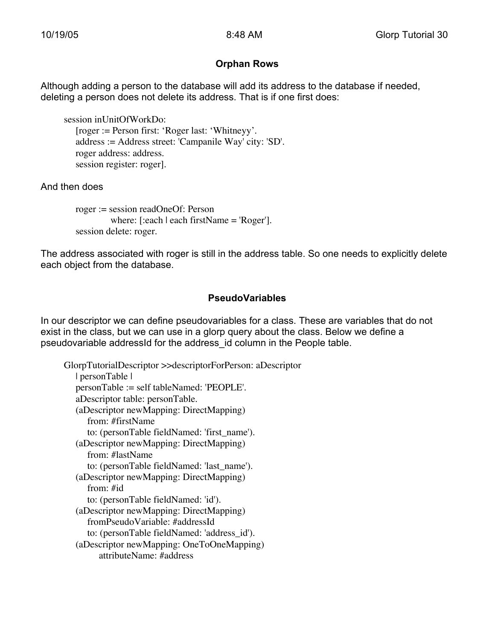#### **Orphan Rows**

Although adding a person to the database will add its address to the database if needed, deleting a person does not delete its address. That is if one first does:

session inUnitOfWorkDo: [roger := Person first: 'Roger last: 'Whitneyy'. address := Address street: 'Campanile Way' city: 'SD'. roger address: address. session register: roger].

And then does

```
roger := session readOneOf: Person
         where: [:each | each firstName = 'Roger'].
session delete: roger.
```
The address associated with roger is still in the address table. So one needs to explicitly delete each object from the database.

### **PseudoVariables**

In our descriptor we can define pseudovariables for a class. These are variables that do not exist in the class, but we can use in a glorp query about the class. Below we define a pseudovariable addressId for the address id column in the People table.

GlorpTutorialDescriptor >>descriptorForPerson: aDescriptor | personTable | personTable := self tableNamed: 'PEOPLE'. aDescriptor table: personTable. (aDescriptor newMapping: DirectMapping) from: #firstName to: (personTable fieldNamed: 'first\_name'). (aDescriptor newMapping: DirectMapping) from: #lastName to: (personTable fieldNamed: 'last\_name'). (aDescriptor newMapping: DirectMapping) from: #id to: (personTable fieldNamed: 'id'). (aDescriptor newMapping: DirectMapping) fromPseudoVariable: #addressId to: (personTable fieldNamed: 'address\_id'). (aDescriptor newMapping: OneToOneMapping) attributeName: #address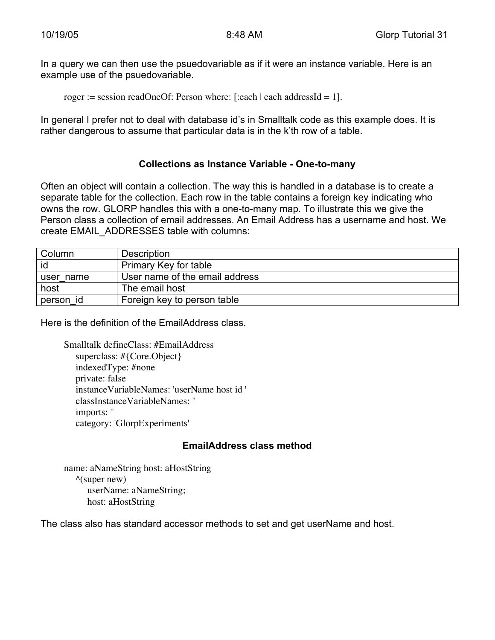In a query we can then use the psuedovariable as if it were an instance variable. Here is an example use of the psuedovariable.

roger := session readOneOf: Person where: [:each | each addressId = 1].

In general I prefer not to deal with database id's in Smalltalk code as this example does. It is rather dangerous to assume that particular data is in the k'th row of a table.

#### **Collections as Instance Variable - One-to-many**

Often an object will contain a collection. The way this is handled in a database is to create a separate table for the collection. Each row in the table contains a foreign key indicating who owns the row. GLORP handles this with a one-to-many map. To illustrate this we give the Person class a collection of email addresses. An Email Address has a username and host. We create EMAIL\_ADDRESSES table with columns:

| Column    | Description                    |
|-----------|--------------------------------|
| id        | Primary Key for table          |
| user name | User name of the email address |
| host      | The email host                 |
| person id | Foreign key to person table    |

Here is the definition of the EmailAddress class.

Smalltalk defineClass: #EmailAddress superclass: #{Core.Object} indexedType: #none private: false instanceVariableNames: 'userName host id ' classInstanceVariableNames: '' imports: '' category: 'GlorpExperiments'

#### **EmailAddress class method**

name: aNameString host: aHostString  $\wedge$ (super new) userName: aNameString; host: aHostString

The class also has standard accessor methods to set and get userName and host.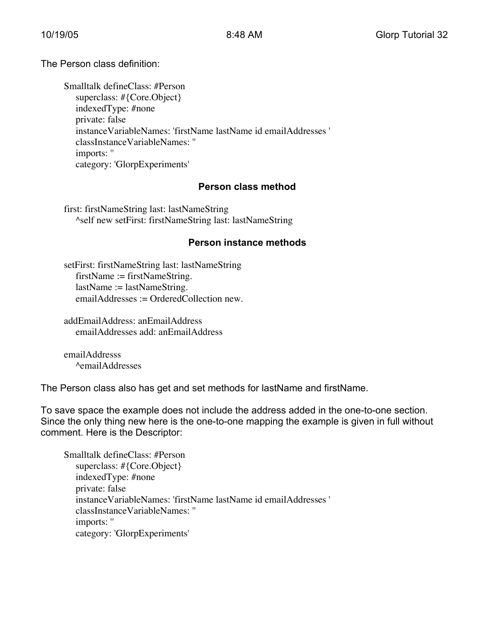The Person class definition:

Smalltalk defineClass: #Person superclass: #{Core.Object} indexedType: #none private: false instanceVariableNames: 'firstName lastName id emailAddresses ' classInstanceVariableNames: '' imports: '' category: 'GlorpExperiments'

#### **Person class method**

first: firstNameString last: lastNameString ^self new setFirst: firstNameString last: lastNameString

#### **Person instance methods**

setFirst: firstNameString last: lastNameString firstName := firstNameString. lastName := lastNameString. emailAddresses := OrderedCollection new.

addEmailAddress: anEmailAddress emailAddresses add: anEmailAddress

emailAddresss ^emailAddresses

The Person class also has get and set methods for lastName and firstName.

To save space the example does not include the address added in the one-to-one section. Since the only thing new here is the one-to-one mapping the example is given in full without comment. Here is the Descriptor:

Smalltalk defineClass: #Person superclass: #{Core.Object} indexedType: #none private: false instanceVariableNames: 'firstName lastName id emailAddresses ' classInstanceVariableNames: '' imports: '' category: 'GlorpExperiments'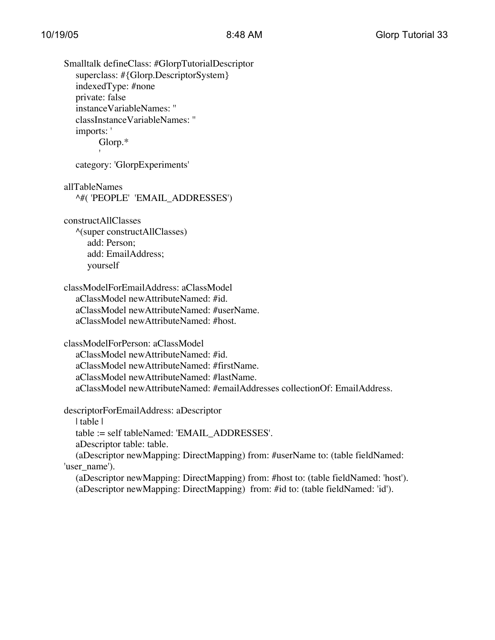Smalltalk defineClass: #GlorpTutorialDescriptor superclass: #{Glorp.DescriptorSystem} indexedType: #none private: false instanceVariableNames: '' classInstanceVariableNames: '' imports: ' Glorp.\* '

category: 'GlorpExperiments'

allTableNames ^#( 'PEOPLE' 'EMAIL\_ADDRESSES')

constructAllClasses ^(super constructAllClasses) add: Person; add: EmailAddress; yourself

classModelForEmailAddress: aClassModel aClassModel newAttributeNamed: #id. aClassModel newAttributeNamed: #userName. aClassModel newAttributeNamed: #host.

classModelForPerson: aClassModel aClassModel newAttributeNamed: #id. aClassModel newAttributeNamed: #firstName.

aClassModel newAttributeNamed: #lastName.

aClassModel newAttributeNamed: #emailAddresses collectionOf: EmailAddress.

descriptorForEmailAddress: aDescriptor

| table |

table := self tableNamed: 'EMAIL\_ADDRESSES'.

aDescriptor table: table.

(aDescriptor newMapping: DirectMapping) from: #userName to: (table fieldNamed: 'user\_name').

(aDescriptor newMapping: DirectMapping) from: #host to: (table fieldNamed: 'host'). (aDescriptor newMapping: DirectMapping) from: #id to: (table fieldNamed: 'id').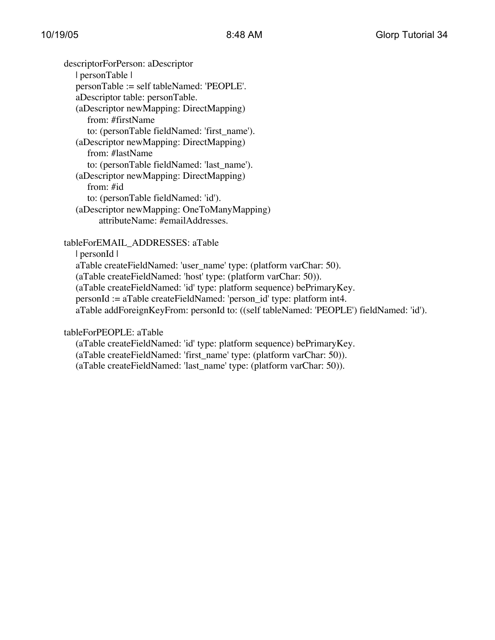descriptorForPerson: aDescriptor | personTable | personTable := self tableNamed: 'PEOPLE'. aDescriptor table: personTable. (aDescriptor newMapping: DirectMapping) from: #firstName to: (personTable fieldNamed: 'first\_name'). (aDescriptor newMapping: DirectMapping) from: #lastName to: (personTable fieldNamed: 'last\_name'). (aDescriptor newMapping: DirectMapping) from: #id to: (personTable fieldNamed: 'id'). (aDescriptor newMapping: OneToManyMapping) attributeName: #emailAddresses.

tableForEMAIL\_ADDRESSES: aTable

| personId |

aTable createFieldNamed: 'user\_name' type: (platform varChar: 50). (aTable createFieldNamed: 'host' type: (platform varChar: 50)). (aTable createFieldNamed: 'id' type: platform sequence) bePrimaryKey. personId := aTable createFieldNamed: 'person\_id' type: platform int4. aTable addForeignKeyFrom: personId to: ((self tableNamed: 'PEOPLE') fieldNamed: 'id').

tableForPEOPLE: aTable

(aTable createFieldNamed: 'id' type: platform sequence) bePrimaryKey. (aTable createFieldNamed: 'first\_name' type: (platform varChar: 50)). (aTable createFieldNamed: 'last\_name' type: (platform varChar: 50)).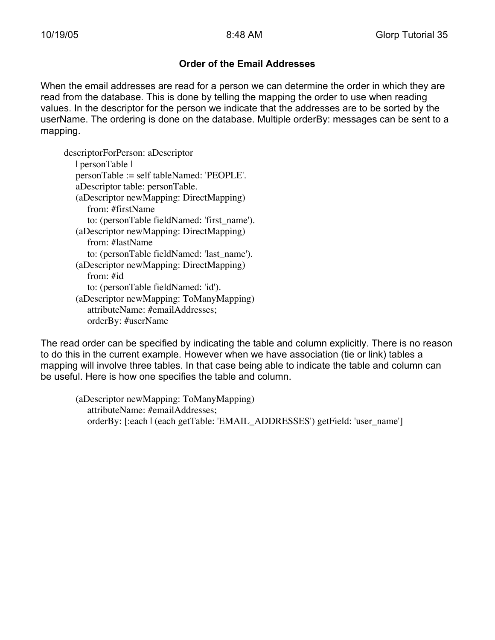#### **Order of the Email Addresses**

When the email addresses are read for a person we can determine the order in which they are read from the database. This is done by telling the mapping the order to use when reading values. In the descriptor for the person we indicate that the addresses are to be sorted by the userName. The ordering is done on the database. Multiple orderBy: messages can be sent to a mapping.

descriptorForPerson: aDescriptor | personTable | personTable := self tableNamed: 'PEOPLE'. aDescriptor table: personTable. (aDescriptor newMapping: DirectMapping) from: #firstName to: (personTable fieldNamed: 'first\_name'). (aDescriptor newMapping: DirectMapping) from: #lastName to: (personTable fieldNamed: 'last\_name'). (aDescriptor newMapping: DirectMapping) from: #id to: (personTable fieldNamed: 'id'). (aDescriptor newMapping: ToManyMapping) attributeName: #emailAddresses; orderBy: #userName

The read order can be specified by indicating the table and column explicitly. There is no reason to do this in the current example. However when we have association (tie or link) tables a mapping will involve three tables. In that case being able to indicate the table and column can be useful. Here is how one specifies the table and column.

(aDescriptor newMapping: ToManyMapping) attributeName: #emailAddresses; orderBy: [:each | (each getTable: 'EMAIL\_ADDRESSES') getField: 'user\_name']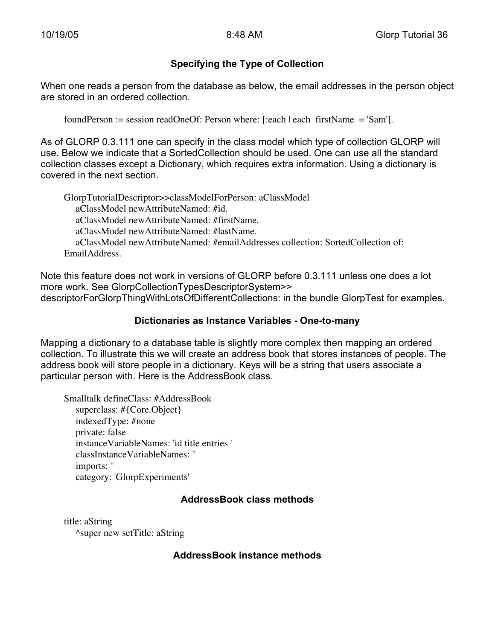#### **Specifying the Type of Collection**

When one reads a person from the database as below, the email addresses in the person object are stored in an ordered collection.

foundPerson := session readOneOf: Person where: [:each | each firstName = 'Sam'].

As of GLORP 0.3.111 one can specify in the class model which type of collection GLORP will use. Below we indicate that a SortedCollection should be used. One can use all the standard collection classes except a Dictionary, which requires extra information. Using a dictionary is covered in the next section.

GlorpTutorialDescriptor>>classModelForPerson: aClassModel aClassModel newAttributeNamed: #id. aClassModel newAttributeNamed: #firstName. aClassModel newAttributeNamed: #lastName. aClassModel newAttributeNamed: #emailAddresses collection: SortedCollection of: EmailAddress.

Note this feature does not work in versions of GLORP before 0.3.111 unless one does a lot more work. See GlorpCollectionTypesDescriptorSystem>> descriptorForGlorpThingWithLotsOfDifferentCollections: in the bundle GlorpTest for examples.

#### **Dictionaries as Instance Variables - One-to-many**

Mapping a dictionary to a database table is slightly more complex then mapping an ordered collection. To illustrate this we will create an address book that stores instances of people. The address book will store people in a dictionary. Keys will be a string that users associate a particular person with. Here is the AddressBook class.

Smalltalk defineClass: #AddressBook superclass: #{Core.Object} indexedType: #none private: false instanceVariableNames: 'id title entries ' classInstanceVariableNames: '' imports: '' category: 'GlorpExperiments'

#### **AddressBook class methods**

title: aString ^super new setTitle: aString

#### **AddressBook instance methods**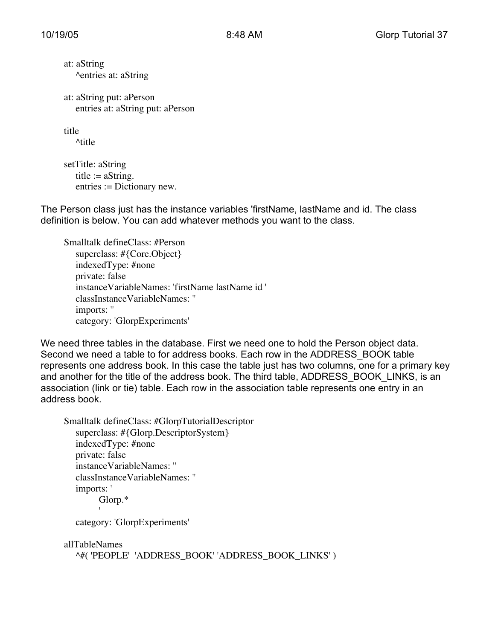at: aString ^entries at: aString

at: aString put: aPerson entries at: aString put: aPerson

title

^title

setTitle: aString title  $:=$  aString. entries := Dictionary new.

The Person class just has the instance variables 'firstName, lastName and id. The class definition is below. You can add whatever methods you want to the class.

Smalltalk defineClass: #Person superclass: #{Core.Object} indexedType: #none private: false instanceVariableNames: 'firstName lastName id ' classInstanceVariableNames: '' imports: '' category: 'GlorpExperiments'

We need three tables in the database. First we need one to hold the Person object data. Second we need a table to for address books. Each row in the ADDRESS\_BOOK table represents one address book. In this case the table just has two columns, one for a primary key and another for the title of the address book. The third table, ADDRESS BOOK LINKS, is an association (link or tie) table. Each row in the association table represents one entry in an address book.

```
Smalltalk defineClass: #GlorpTutorialDescriptor
  superclass: #{Glorp.DescriptorSystem}
   indexedType: #none
  private: false
  instanceVariableNames: ''
  classInstanceVariableNames: ''
  imports: '
        Glorp.*
         'category: 'GlorpExperiments'
```
allTableNames ^#( 'PEOPLE' 'ADDRESS\_BOOK' 'ADDRESS\_BOOK\_LINKS' )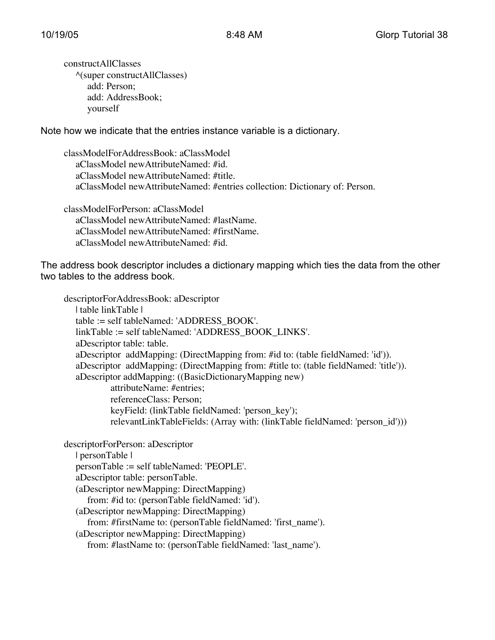constructAllClasses ^(super constructAllClasses) add: Person; add: AddressBook; yourself

Note how we indicate that the entries instance variable is a dictionary.

classModelForAddressBook: aClassModel aClassModel newAttributeNamed: #id. aClassModel newAttributeNamed: #title. aClassModel newAttributeNamed: #entries collection: Dictionary of: Person.

classModelForPerson: aClassModel aClassModel newAttributeNamed: #lastName. aClassModel newAttributeNamed: #firstName. aClassModel newAttributeNamed: #id.

The address book descriptor includes a dictionary mapping which ties the data from the other two tables to the address book.

descriptorForAddressBook: aDescriptor | table linkTable | table := self tableNamed: 'ADDRESS\_BOOK'. linkTable := self tableNamed: 'ADDRESS\_BOOK\_LINKS'. aDescriptor table: table. aDescriptor addMapping: (DirectMapping from: #id to: (table fieldNamed: 'id')). aDescriptor addMapping: (DirectMapping from: #title to: (table fieldNamed: 'title')). aDescriptor addMapping: ((BasicDictionaryMapping new) attributeName: #entries; referenceClass: Person; keyField: (linkTable fieldNamed: 'person\_key'); relevantLinkTableFields: (Array with: (linkTable fieldNamed: 'person\_id'))) descriptorForPerson: aDescriptor

| personTable | personTable := self tableNamed: 'PEOPLE'. aDescriptor table: personTable. (aDescriptor newMapping: DirectMapping) from: #id to: (personTable fieldNamed: 'id'). (aDescriptor newMapping: DirectMapping) from: #firstName to: (personTable fieldNamed: 'first\_name'). (aDescriptor newMapping: DirectMapping) from: #lastName to: (personTable fieldNamed: 'last\_name').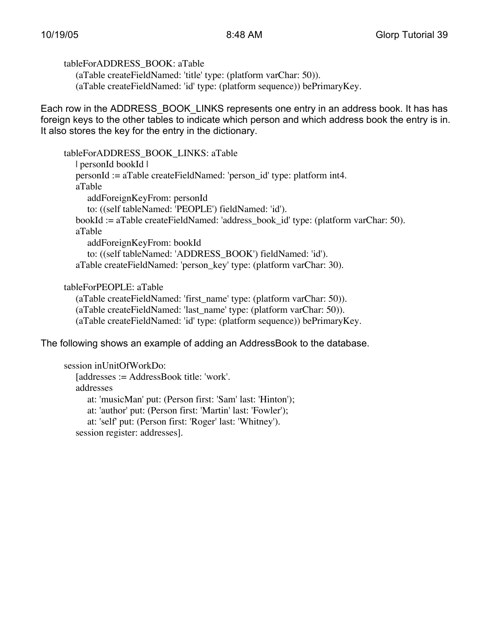tableForADDRESS\_BOOK: aTable

(aTable createFieldNamed: 'title' type: (platform varChar: 50)). (aTable createFieldNamed: 'id' type: (platform sequence)) bePrimaryKey.

Each row in the ADDRESS\_BOOK\_LINKS represents one entry in an address book. It has has foreign keys to the other tables to indicate which person and which address book the entry is in. It also stores the key for the entry in the dictionary.

```
tableForADDRESS_BOOK_LINKS: aTable
  | personId bookId |
  personId := aTable createFieldNamed: 'person_id' type: platform int4.
  aTable
     addForeignKeyFrom: personId
     to: ((self tableNamed: 'PEOPLE') fieldNamed: 'id').
  bookId := aTable createFieldNamed: 'address_book_id' type: (platform varChar: 50).
  aTable
     addForeignKeyFrom: bookId
     to: ((self tableNamed: 'ADDRESS_BOOK') fieldNamed: 'id').
  aTable createFieldNamed: 'person_key' type: (platform varChar: 30).
```
tableForPEOPLE: aTable

(aTable createFieldNamed: 'first\_name' type: (platform varChar: 50)).

(aTable createFieldNamed: 'last\_name' type: (platform varChar: 50)).

(aTable createFieldNamed: 'id' type: (platform sequence)) bePrimaryKey.

The following shows an example of adding an AddressBook to the database.

```
session inUnitOfWorkDo:
   [addresses := AddressBook title: 'work'.
   addresses
      at: 'musicMan' put: (Person first: 'Sam' last: 'Hinton');
      at: 'author' put: (Person first: 'Martin' last: 'Fowler');
      at: 'self' put: (Person first: 'Roger' last: 'Whitney').
   session register: addresses].
```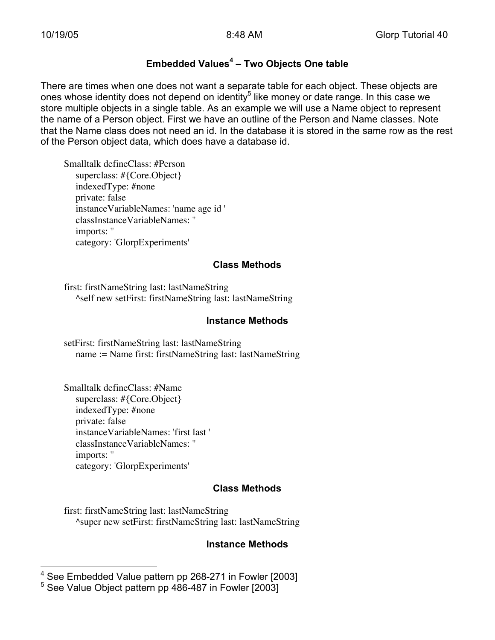# **Embedded Values<sup>4</sup> – Two Objects One table**

There are times when one does not want a separate table for each object. These objects are ones whose identity does not depend on identity<sup>5</sup> like money or date range. In this case we store multiple objects in a single table. As an example we will use a Name object to represent the name of a Person object. First we have an outline of the Person and Name classes. Note that the Name class does not need an id. In the database it is stored in the same row as the rest of the Person object data, which does have a database id.

Smalltalk defineClass: #Person superclass: #{Core.Object} indexedType: #none private: false instanceVariableNames: 'name age id ' classInstanceVariableNames: '' imports: '' category: 'GlorpExperiments'

#### **Class Methods**

first: firstNameString last: lastNameString ^self new setFirst: firstNameString last: lastNameString

#### **Instance Methods**

setFirst: firstNameString last: lastNameString name := Name first: firstNameString last: lastNameString

Smalltalk defineClass: #Name superclass: #{Core.Object} indexedType: #none private: false instanceVariableNames: 'first last ' classInstanceVariableNames: '' imports: '' category: 'GlorpExperiments'

#### **Class Methods**

first: firstNameString last: lastNameString ^super new setFirst: firstNameString last: lastNameString

#### **Instance Methods**

 <sup>4</sup> See Embedded Value pattern pp 268-271 in Fowler [2003] 5 See Value Object pattern pp 486-487 in Fowler [2003]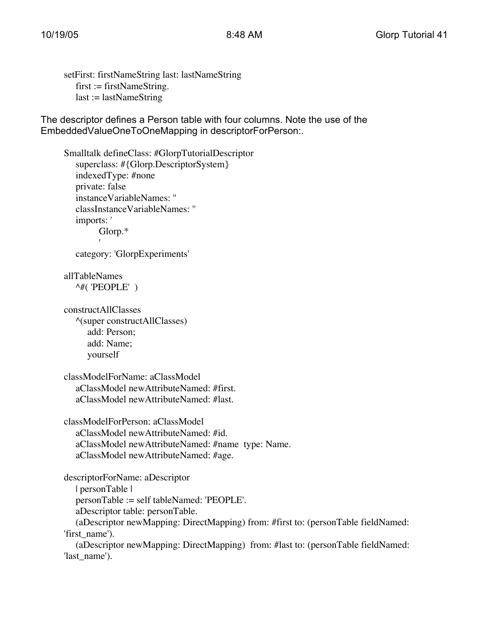setFirst: firstNameString last: lastNameString  $first := firstNameString$ .  $last := lastNameString$ 

The descriptor defines a Person table with four columns. Note the use of the EmbeddedValueOneToOneMapping in descriptorForPerson:.

```
Smalltalk defineClass: #GlorpTutorialDescriptor
  superclass: #{Glorp.DescriptorSystem}
  indexedType: #none
  private: false
  instanceVariableNames: ''
  classInstanceVariableNames: ''
  imports: '
        Glorp.*
        'category: 'GlorpExperiments'
allTableNames
  ^#( 'PEOPLE' )
constructAllClasses
  ^(super constructAllClasses)
     add: Person;
     add: Name;
     yourself
classModelForName: aClassModel
  aClassModel newAttributeNamed: #first.
  aClassModel newAttributeNamed: #last.
classModelForPerson: aClassModel
  aClassModel newAttributeNamed: #id.
  aClassModel newAttributeNamed: #name type: Name.
  aClassModel newAttributeNamed: #age.
descriptorForName: aDescriptor
  | personTable |
  personTable := self tableNamed: 'PEOPLE'.
  aDescriptor table: personTable.
  (aDescriptor newMapping: DirectMapping) from: #first to: (personTable fieldNamed:
'first_name').
```
(aDescriptor newMapping: DirectMapping) from: #last to: (personTable fieldNamed: 'last\_name').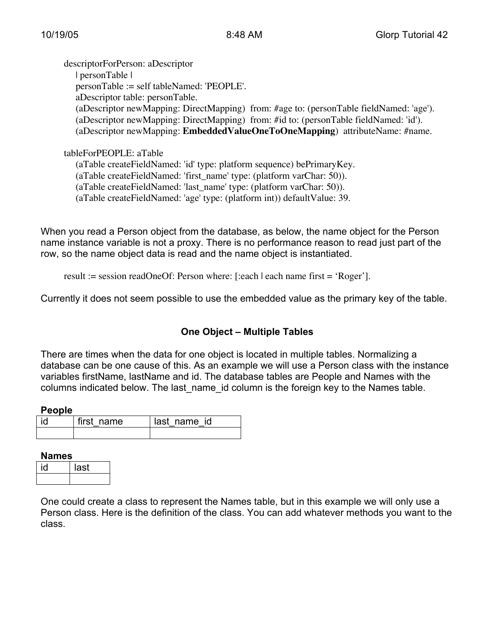descriptorForPerson: aDescriptor | personTable | personTable := self tableNamed: 'PEOPLE'. aDescriptor table: personTable. (aDescriptor newMapping: DirectMapping) from: #age to: (personTable fieldNamed: 'age'). (aDescriptor newMapping: DirectMapping) from: #id to: (personTable fieldNamed: 'id'). (aDescriptor newMapping: **EmbeddedValueOneToOneMapping**) attributeName: #name.

tableForPEOPLE: aTable (aTable createFieldNamed: 'id' type: platform sequence) bePrimaryKey. (aTable createFieldNamed: 'first\_name' type: (platform varChar: 50)). (aTable createFieldNamed: 'last\_name' type: (platform varChar: 50)).

(aTable createFieldNamed: 'age' type: (platform int)) defaultValue: 39.

When you read a Person object from the database, as below, the name object for the Person name instance variable is not a proxy. There is no performance reason to read just part of the row, so the name object data is read and the name object is instantiated.

result := session readOneOf: Person where: [:each | each name first = 'Roger'].

Currently it does not seem possible to use the embedded value as the primary key of the table.

#### **One Object – Multiple Tables**

There are times when the data for one object is located in multiple tables. Normalizing a database can be one cause of this. As an example we will use a Person class with the instance variables firstName, lastName and id. The database tables are People and Names with the columns indicated below. The last name id column is the foreign key to the Names table.

#### **People**

| i٥ | I first name | I last name id |
|----|--------------|----------------|
|    |              |                |

#### **Names**

| last |
|------|
|      |

One could create a class to represent the Names table, but in this example we will only use a Person class. Here is the definition of the class. You can add whatever methods you want to the class.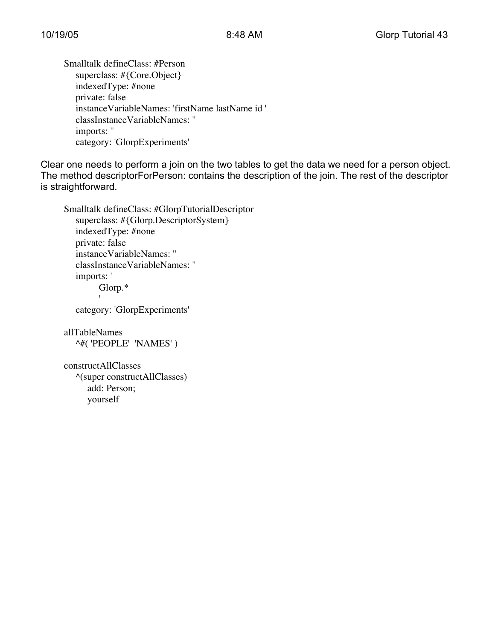Smalltalk defineClass: #Person superclass: #{Core.Object} indexedType: #none private: false instanceVariableNames: 'firstName lastName id ' classInstanceVariableNames: '' imports: '' category: 'GlorpExperiments'

Clear one needs to perform a join on the two tables to get the data we need for a person object. The method descriptorForPerson: contains the description of the join. The rest of the descriptor is straightforward.

Smalltalk defineClass: #GlorpTutorialDescriptor superclass: #{Glorp.DescriptorSystem} indexedType: #none private: false instanceVariableNames: '' classInstanceVariableNames: '' imports: ' Glorp.\* '

category: 'GlorpExperiments'

allTableNames ^#( 'PEOPLE' 'NAMES' )

constructAllClasses ^(super constructAllClasses) add: Person; yourself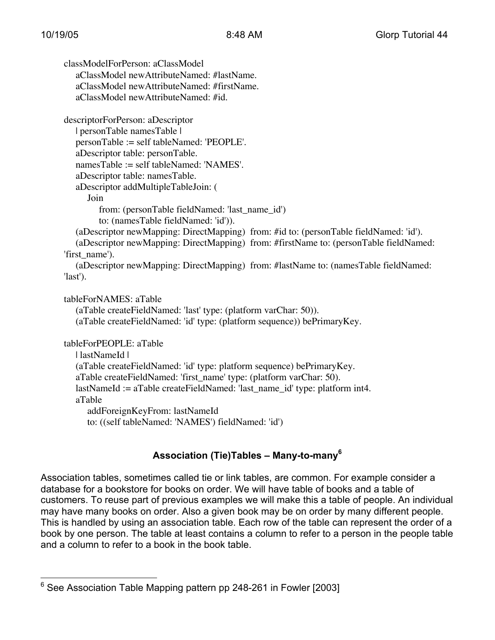classModelForPerson: aClassModel aClassModel newAttributeNamed: #lastName. aClassModel newAttributeNamed: #firstName. aClassModel newAttributeNamed: #id. descriptorForPerson: aDescriptor | personTable namesTable | personTable := self tableNamed: 'PEOPLE'. aDescriptor table: personTable. namesTable := self tableNamed: 'NAMES'. aDescriptor table: namesTable. aDescriptor addMultipleTableJoin: ( Join from: (personTable fieldNamed: 'last\_name\_id') to: (namesTable fieldNamed: 'id')). (aDescriptor newMapping: DirectMapping) from: #id to: (personTable fieldNamed: 'id'). (aDescriptor newMapping: DirectMapping) from: #firstName to: (personTable fieldNamed: 'first\_name'). (aDescriptor newMapping: DirectMapping) from: #lastName to: (namesTable fieldNamed: 'last'). tableForNAMES: aTable (aTable createFieldNamed: 'last' type: (platform varChar: 50)). (aTable createFieldNamed: 'id' type: (platform sequence)) bePrimaryKey. tableForPEOPLE: aTable | lastNameId | (aTable createFieldNamed: 'id' type: platform sequence) bePrimaryKey. aTable createFieldNamed: 'first\_name' type: (platform varChar: 50). lastNameId := aTable createFieldNamed: 'last\_name\_id' type: platform int4. aTable addForeignKeyFrom: lastNameId to: ((self tableNamed: 'NAMES') fieldNamed: 'id')

# **Association (Tie)Tables – Many-to-many<sup>6</sup>**

Association tables, sometimes called tie or link tables, are common. For example consider a database for a bookstore for books on order. We will have table of books and a table of customers. To reuse part of previous examples we will make this a table of people. An individual may have many books on order. Also a given book may be on order by many different people. This is handled by using an association table. Each row of the table can represent the order of a book by one person. The table at least contains a column to refer to a person in the people table and a column to refer to a book in the book table.

 $\frac{1}{6}$ See Association Table Mapping pattern pp 248-261 in Fowler [2003]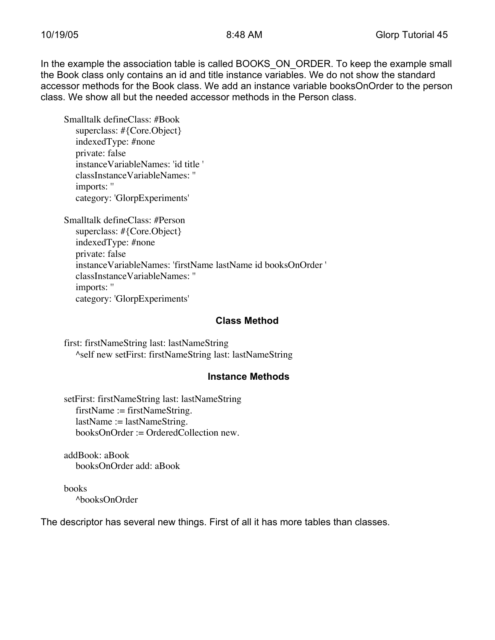In the example the association table is called BOOKS\_ON\_ORDER. To keep the example small the Book class only contains an id and title instance variables. We do not show the standard accessor methods for the Book class. We add an instance variable booksOnOrder to the person class. We show all but the needed accessor methods in the Person class.

Smalltalk defineClass: #Book superclass: #{Core.Object} indexedType: #none private: false instanceVariableNames: 'id title ' classInstanceVariableNames: '' imports: '' category: 'GlorpExperiments'

Smalltalk defineClass: #Person superclass: #{Core.Object} indexedType: #none private: false instanceVariableNames: 'firstName lastName id booksOnOrder ' classInstanceVariableNames: '' imports: '' category: 'GlorpExperiments'

#### **Class Method**

first: firstNameString last: lastNameString ^self new setFirst: firstNameString last: lastNameString

#### **Instance Methods**

setFirst: firstNameString last: lastNameString firstName := firstNameString. lastName := lastNameString. booksOnOrder := OrderedCollection new.

addBook: aBook booksOnOrder add: aBook

books ^booksOnOrder

The descriptor has several new things. First of all it has more tables than classes.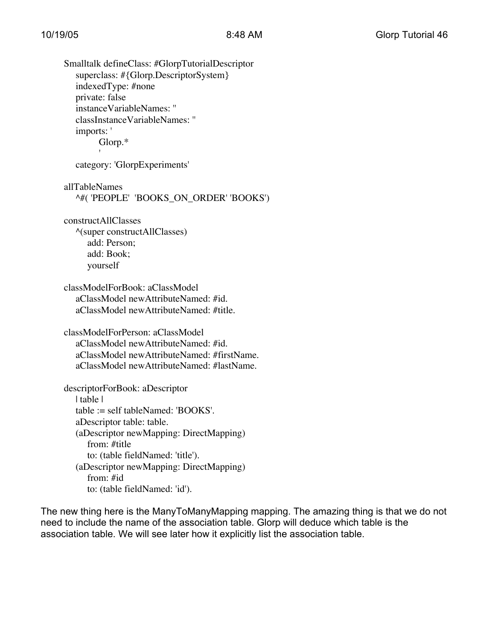Smalltalk defineClass: #GlorpTutorialDescriptor superclass: #{Glorp.DescriptorSystem} indexedType: #none private: false instanceVariableNames: '' classInstanceVariableNames: '' imports: ' Glorp.\* 'category: 'GlorpExperiments' allTableNames ^#( 'PEOPLE' 'BOOKS\_ON\_ORDER' 'BOOKS') constructAllClasses ^(super constructAllClasses) add: Person; add: Book; yourself classModelForBook: aClassModel aClassModel newAttributeNamed: #id. aClassModel newAttributeNamed: #title. classModelForPerson: aClassModel aClassModel newAttributeNamed: #id. aClassModel newAttributeNamed: #firstName. aClassModel newAttributeNamed: #lastName. descriptorForBook: aDescriptor | table | table := self tableNamed: 'BOOKS'. aDescriptor table: table. (aDescriptor newMapping: DirectMapping) from: #title to: (table fieldNamed: 'title'). (aDescriptor newMapping: DirectMapping) from: #id

to: (table fieldNamed: 'id').

The new thing here is the ManyToManyMapping mapping. The amazing thing is that we do not need to include the name of the association table. Glorp will deduce which table is the association table. We will see later how it explicitly list the association table.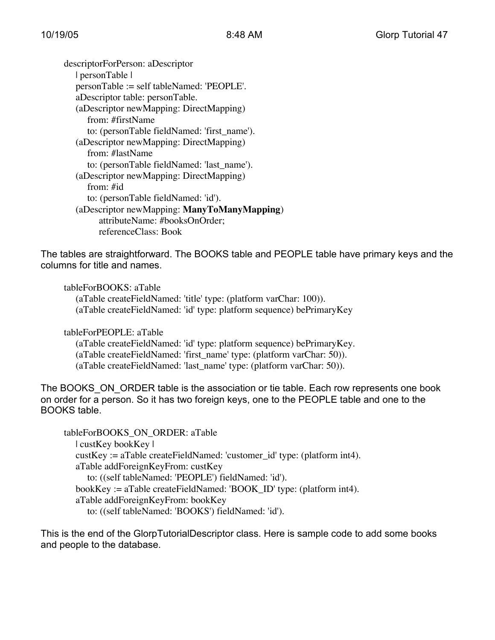descriptorForPerson: aDescriptor | personTable | personTable := self tableNamed: 'PEOPLE'. aDescriptor table: personTable. (aDescriptor newMapping: DirectMapping) from: #firstName to: (personTable fieldNamed: 'first\_name'). (aDescriptor newMapping: DirectMapping) from: #lastName to: (personTable fieldNamed: 'last\_name'). (aDescriptor newMapping: DirectMapping) from: #id to: (personTable fieldNamed: 'id'). (aDescriptor newMapping: **ManyToManyMapping**) attributeName: #booksOnOrder; referenceClass: Book

The tables are straightforward. The BOOKS table and PEOPLE table have primary keys and the columns for title and names.

tableForBOOKS: aTable (aTable createFieldNamed: 'title' type: (platform varChar: 100)). (aTable createFieldNamed: 'id' type: platform sequence) bePrimaryKey

tableForPEOPLE: aTable (aTable createFieldNamed: 'id' type: platform sequence) bePrimaryKey. (aTable createFieldNamed: 'first\_name' type: (platform varChar: 50)). (aTable createFieldNamed: 'last\_name' type: (platform varChar: 50)).

The BOOKS ON ORDER table is the association or tie table. Each row represents one book on order for a person. So it has two foreign keys, one to the PEOPLE table and one to the BOOKS table.

```
tableForBOOKS_ON_ORDER: aTable
  | custKey bookKey |
  custKey := aTable createFieldNamed: 'customer id' type: (platform int4).
   aTable addForeignKeyFrom: custKey
     to: ((self tableNamed: 'PEOPLE') fieldNamed: 'id').
  bookKey := aTable createFieldNamed: 'BOOK_ID' type: (platform int4).
  aTable addForeignKeyFrom: bookKey
     to: ((self tableNamed: 'BOOKS') fieldNamed: 'id').
```
This is the end of the GlorpTutorialDescriptor class. Here is sample code to add some books and people to the database.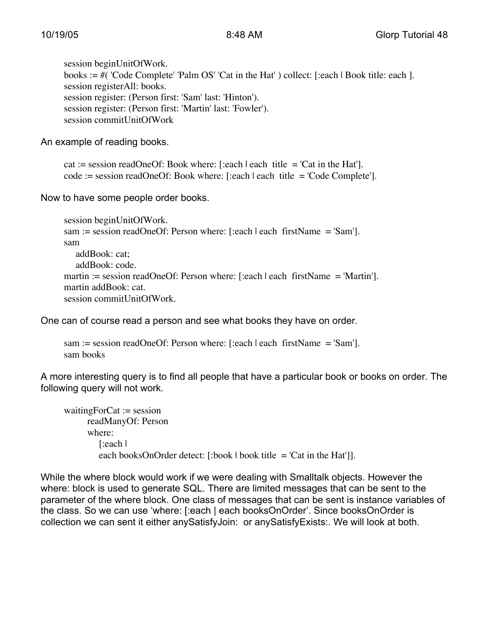session beginUnitOfWork. books := #( 'Code Complete' 'Palm OS' 'Cat in the Hat' ) collect: [:each | Book title: each ]. session registerAll: books. session register: (Person first: 'Sam' last: 'Hinton'). session register: (Person first: 'Martin' last: 'Fowler'). session commitUnitOfWork

An example of reading books.

cat := session readOneOf: Book where: [:each | each title = 'Cat in the Hat']. code := session readOneOf: Book where: [:each | each title = 'Code Complete'].

Now to have some people order books.

```
session beginUnitOfWork.
sam := session readOneOf: Person where: [:each | each firstName = 'Sam'].
sam
  addBook: cat;
  addBook: code.
martin := session readOneOf: Person where: [:each | each firstName = 'Martin'].
martin addBook: cat.
session commitUnitOfWork.
```
One can of course read a person and see what books they have on order.

```
sam := session readOneOf: Person where: [:each | each firstName = 'Sam'].
sam books
```
A more interesting query is to find all people that have a particular book or books on order. The following query will not work.

```
waitingForCat := session
     readManyOf: Person
     where:
        [:each |
        each booksOnOrder detect: [:book | book title = 'Cat in the Hat']].
```
While the where block would work if we were dealing with Smalltalk objects. However the where: block is used to generate SQL. There are limited messages that can be sent to the parameter of the where block. One class of messages that can be sent is instance variables of the class. So we can use 'where: [:each | each booksOnOrder'. Since booksOnOrder is collection we can sent it either anySatisfyJoin: or anySatisfyExists:. We will look at both.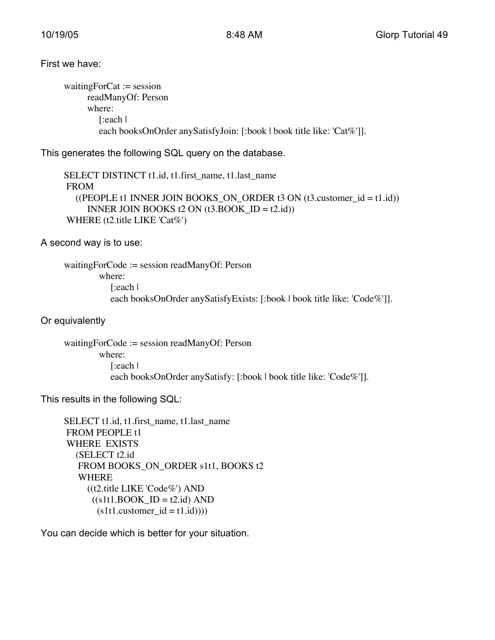#### First we have:

```
waitingForCat := session
     readManyOf: Person
     where:
        [:each |
        each booksOnOrder anySatisfyJoin: [:book | book title like: 'Cat%']].
```
This generates the following SQL query on the database.

SELECT DISTINCT t1.id, t1.first\_name, t1.last\_name FROM ((PEOPLE t1 INNER JOIN BOOKS ON ORDER t3 ON (t3.customer  $id = t1.id$ )) INNER JOIN BOOKS  $t2$  ON  $(t3.BOOK_ID = t2.id)$ WHERE (t2.title LIKE 'Cat%')

A second way is to use:

```
waitingForCode := session readManyOf: Person
        where:
           [:each |
           each booksOnOrder anySatisfyExists: [:book | book title like: 'Code%']].
```
Or equivalently

```
waitingForCode := session readManyOf: Person
        where:
           [:each |
           each booksOnOrder anySatisfy: [:book | book title like: 'Code%']].
```
This results in the following SQL:

```
SELECT t1.id, t1.first_name, t1.last_name
 FROM PEOPLE t1
 WHERE EXISTS
  (SELECT t2.id
    FROM BOOKS_ON_ORDER s1t1, BOOKS t2
    WHERE
     ((t2.title LIKE 'Code%') AND
      ((s1t1.BOOK ID = t2.id) AND(s1t1.customer_id = t1.id))))
```
You can decide which is better for your situation.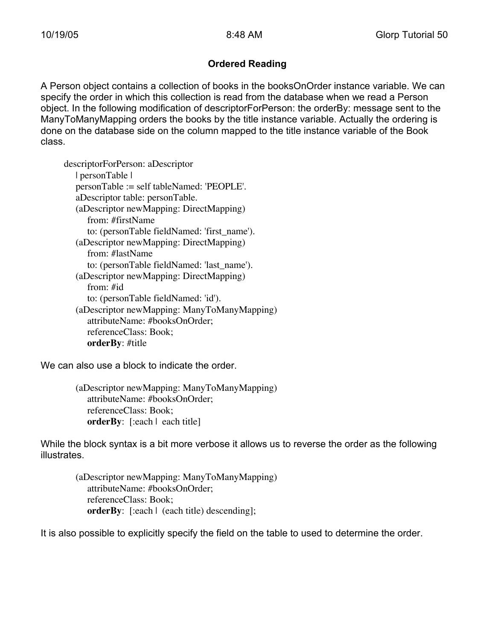# **Ordered Reading**

A Person object contains a collection of books in the booksOnOrder instance variable. We can specify the order in which this collection is read from the database when we read a Person object. In the following modification of descriptorForPerson: the orderBy: message sent to the ManyToManyMapping orders the books by the title instance variable. Actually the ordering is done on the database side on the column mapped to the title instance variable of the Book class.

descriptorForPerson: aDescriptor | personTable | personTable := self tableNamed: 'PEOPLE'. aDescriptor table: personTable. (aDescriptor newMapping: DirectMapping) from: #firstName to: (personTable fieldNamed: 'first\_name'). (aDescriptor newMapping: DirectMapping) from: #lastName to: (personTable fieldNamed: 'last\_name'). (aDescriptor newMapping: DirectMapping) from: #id to: (personTable fieldNamed: 'id'). (aDescriptor newMapping: ManyToManyMapping) attributeName: #booksOnOrder; referenceClass: Book; **orderBy**: #title

We can also use a block to indicate the order.

(aDescriptor newMapping: ManyToManyMapping) attributeName: #booksOnOrder; referenceClass: Book; **orderBy**: [:each | each title]

While the block syntax is a bit more verbose it allows us to reverse the order as the following illustrates.

(aDescriptor newMapping: ManyToManyMapping) attributeName: #booksOnOrder; referenceClass: Book; **orderBy**: [:each | (each title) descending];

It is also possible to explicitly specify the field on the table to used to determine the order.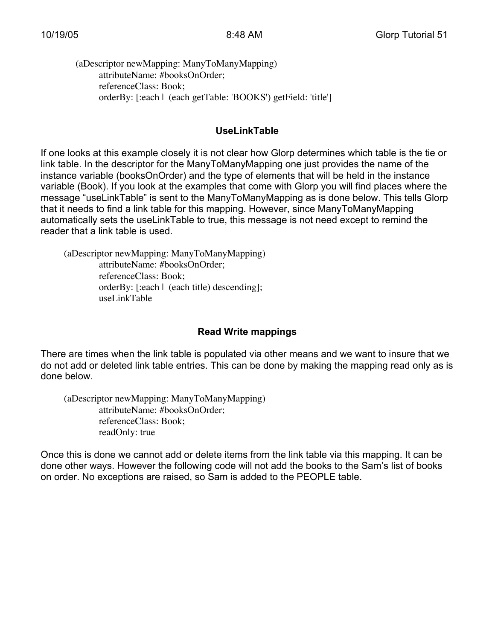(aDescriptor newMapping: ManyToManyMapping) attributeName: #booksOnOrder; referenceClass: Book; orderBy: [:each | (each getTable: 'BOOKS') getField: 'title']

### **UseLinkTable**

If one looks at this example closely it is not clear how Glorp determines which table is the tie or link table. In the descriptor for the ManyToManyMapping one just provides the name of the instance variable (booksOnOrder) and the type of elements that will be held in the instance variable (Book). If you look at the examples that come with Glorp you will find places where the message "useLinkTable" is sent to the ManyToManyMapping as is done below. This tells Glorp that it needs to find a link table for this mapping. However, since ManyToManyMapping automatically sets the useLinkTable to true, this message is not need except to remind the reader that a link table is used.

(aDescriptor newMapping: ManyToManyMapping) attributeName: #booksOnOrder; referenceClass: Book; orderBy: [:each | (each title) descending]; useLinkTable

# **Read Write mappings**

There are times when the link table is populated via other means and we want to insure that we do not add or deleted link table entries. This can be done by making the mapping read only as is done below.

(aDescriptor newMapping: ManyToManyMapping) attributeName: #booksOnOrder; referenceClass: Book; readOnly: true

Once this is done we cannot add or delete items from the link table via this mapping. It can be done other ways. However the following code will not add the books to the Sam's list of books on order. No exceptions are raised, so Sam is added to the PEOPLE table.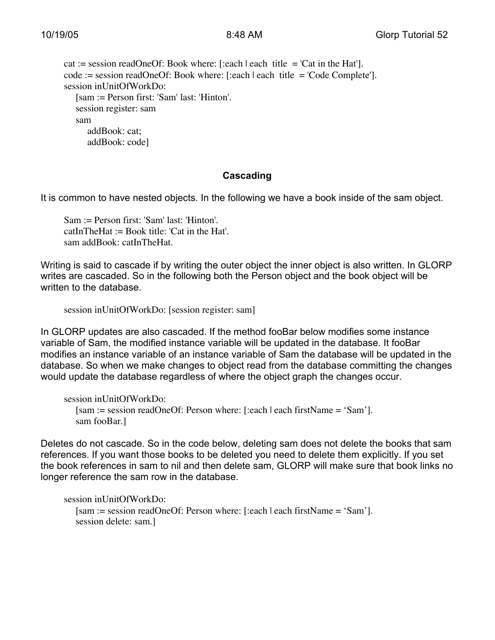```
cat := session readOneOf: Book where: [:each | each title = 'Cat in the Hat'].
code := session readOneOf: Book where: [:each | each title = 'Code Complete'].
session inUnitOfWorkDo:
   [sam := Person first: 'Sam' last: 'Hinton'.
  session register: sam
  sam
     addBook: cat;
      addBook: code]
```
# **Cascading**

It is common to have nested objects. In the following we have a book inside of the sam object.

Sam := Person first: 'Sam' last: 'Hinton'. catInTheHat := Book title: 'Cat in the Hat'. sam addBook: catInTheHat.

Writing is said to cascade if by writing the outer object the inner object is also written. In GLORP writes are cascaded. So in the following both the Person object and the book object will be written to the database.

```
session inUnitOfWorkDo: [session register: sam]
```
In GLORP updates are also cascaded. If the method fooBar below modifies some instance variable of Sam, the modified instance variable will be updated in the database. It fooBar modifies an instance variable of an instance variable of Sam the database will be updated in the database. So when we make changes to object read from the database committing the changes would update the database regardless of where the object graph the changes occur.

```
session inUnitOfWorkDo:
  [sam := session readOneOf: Person where: [:each | each firstName = 'Sam'].
  sam fooBar.]
```
Deletes do not cascade. So in the code below, deleting sam does not delete the books that sam references. If you want those books to be deleted you need to delete them explicitly. If you set the book references in sam to nil and then delete sam, GLORP will make sure that book links no longer reference the sam row in the database.

```
session inUnitOfWorkDo:
  [sam := session readOneOf: Person where: [:each | each firstName = 'Sam'].
  session delete: sam.]
```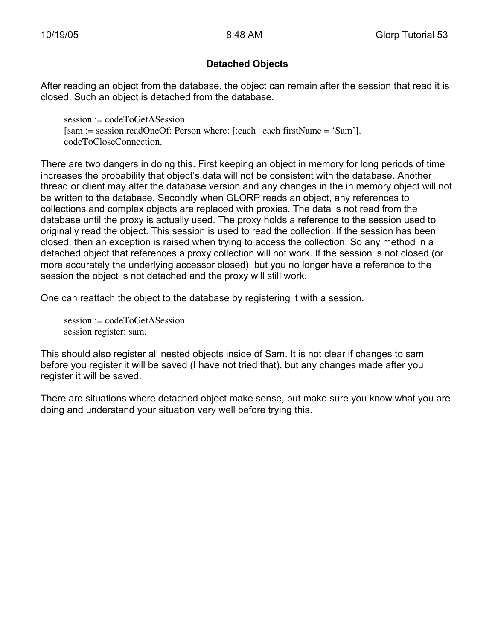### **Detached Objects**

After reading an object from the database, the object can remain after the session that read it is closed. Such an object is detached from the database.

session := codeToGetASession. [sam := session readOneOf: Person where: [:each | each firstName = 'Sam']. codeToCloseConnection.

There are two dangers in doing this. First keeping an object in memory for long periods of time increases the probability that object's data will not be consistent with the database. Another thread or client may alter the database version and any changes in the in memory object will not be written to the database. Secondly when GLORP reads an object, any references to collections and complex objects are replaced with proxies. The data is not read from the database until the proxy is actually used. The proxy holds a reference to the session used to originally read the object. This session is used to read the collection. If the session has been closed, then an exception is raised when trying to access the collection. So any method in a detached object that references a proxy collection will not work. If the session is not closed (or more accurately the underlying accessor closed), but you no longer have a reference to the session the object is not detached and the proxy will still work.

One can reattach the object to the database by registering it with a session.

session := codeToGetASession. session register: sam.

This should also register all nested objects inside of Sam. It is not clear if changes to sam before you register it will be saved (I have not tried that), but any changes made after you register it will be saved.

There are situations where detached object make sense, but make sure you know what you are doing and understand your situation very well before trying this.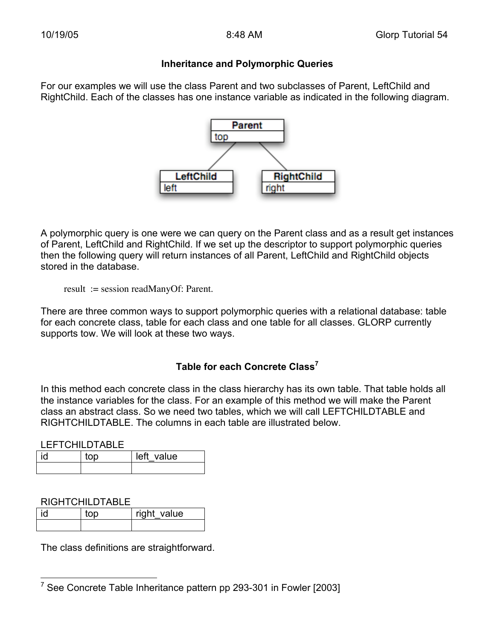#### **Inheritance and Polymorphic Queries**

For our examples we will use the class Parent and two subclasses of Parent, LeftChild and RightChild. Each of the classes has one instance variable as indicated in the following diagram.



A polymorphic query is one were we can query on the Parent class and as a result get instances of Parent, LeftChild and RightChild. If we set up the descriptor to support polymorphic queries then the following query will return instances of all Parent, LeftChild and RightChild objects stored in the database.

result := session readManyOf: Parent.

There are three common ways to support polymorphic queries with a relational database: table for each concrete class, table for each class and one table for all classes. GLORP currently supports tow. We will look at these two ways.

# **Table for each Concrete Class<sup>7</sup>**

In this method each concrete class in the class hierarchy has its own table. That table holds all the instance variables for the class. For an example of this method we will make the Parent class an abstract class. So we need two tables, which we will call LEFTCHILDTABLE and RIGHTCHILDTABLE. The columns in each table are illustrated below.

LEFTCHILDTABLE

| ام : | าท | left value |
|------|----|------------|
|      |    |            |

RIGHTCHILDTABLE

| _____________________ |     |             |
|-----------------------|-----|-------------|
| id                    | t∩n | right value |
|                       |     |             |

The class definitions are straightforward.

 <sup>7</sup> See Concrete Table Inheritance pattern pp 293-301 in Fowler [2003]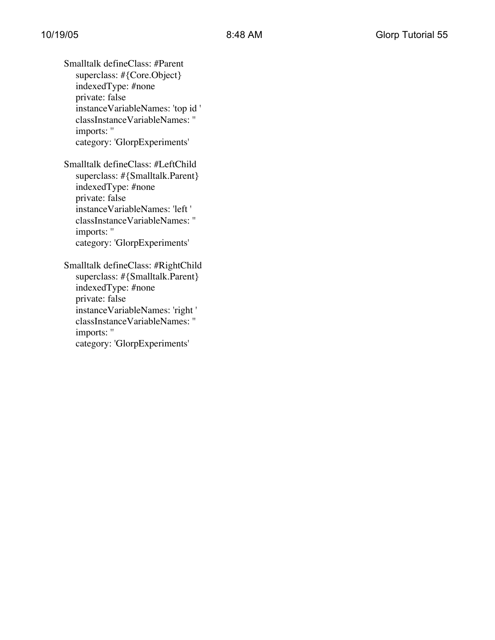Smalltalk defineClass: #Parent superclass: #{Core.Object} indexedType: #none private: false instanceVariableNames: 'top id ' classInstanceVariableNames: '' imports: '' category: 'GlorpExperiments'

Smalltalk defineClass: #LeftChild superclass: #{Smalltalk.Parent} indexedType: #none private: false instanceVariableNames: 'left ' classInstanceVariableNames: '' imports: '' category: 'GlorpExperiments'

Smalltalk defineClass: #RightChild superclass: #{Smalltalk.Parent} indexedType: #none private: false instanceVariableNames: 'right ' classInstanceVariableNames: '' imports: '' category: 'GlorpExperiments'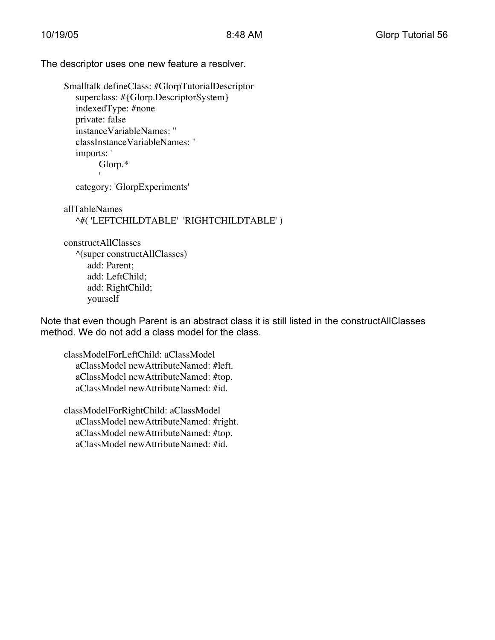The descriptor uses one new feature a resolver.

Smalltalk defineClass: #GlorpTutorialDescriptor superclass: #{Glorp.DescriptorSystem} indexedType: #none private: false instanceVariableNames: '' classInstanceVariableNames: '' imports: ' Glorp.\*

category: 'GlorpExperiments'

'

allTableNames ^#( 'LEFTCHILDTABLE' 'RIGHTCHILDTABLE' )

constructAllClasses ^(super constructAllClasses) add: Parent; add: LeftChild; add: RightChild; yourself

Note that even though Parent is an abstract class it is still listed in the constructAllClasses method. We do not add a class model for the class.

classModelForLeftChild: aClassModel aClassModel newAttributeNamed: #left. aClassModel newAttributeNamed: #top. aClassModel newAttributeNamed: #id.

classModelForRightChild: aClassModel aClassModel newAttributeNamed: #right. aClassModel newAttributeNamed: #top. aClassModel newAttributeNamed: #id.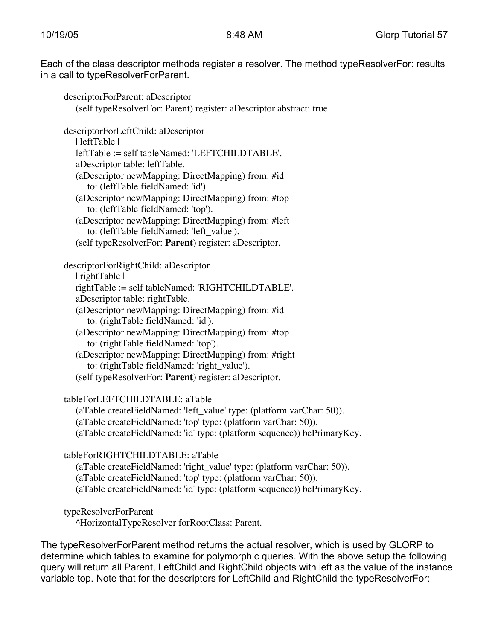Each of the class descriptor methods register a resolver. The method typeResolverFor: results in a call to typeResolverForParent.

descriptorForParent: aDescriptor (self typeResolverFor: Parent) register: aDescriptor abstract: true. descriptorForLeftChild: aDescriptor | leftTable | leftTable := self tableNamed: 'LEFTCHILDTABLE'. aDescriptor table: leftTable. (aDescriptor newMapping: DirectMapping) from: #id to: (leftTable fieldNamed: 'id'). (aDescriptor newMapping: DirectMapping) from: #top to: (leftTable fieldNamed: 'top'). (aDescriptor newMapping: DirectMapping) from: #left to: (leftTable fieldNamed: 'left\_value'). (self typeResolverFor: **Parent**) register: aDescriptor. descriptorForRightChild: aDescriptor | rightTable | rightTable := self tableNamed: 'RIGHTCHILDTABLE'. aDescriptor table: rightTable. (aDescriptor newMapping: DirectMapping) from: #id to: (rightTable fieldNamed: 'id'). (aDescriptor newMapping: DirectMapping) from: #top to: (rightTable fieldNamed: 'top'). (aDescriptor newMapping: DirectMapping) from: #right to: (rightTable fieldNamed: 'right\_value').

(self typeResolverFor: **Parent**) register: aDescriptor.

tableForLEFTCHILDTABLE: aTable

(aTable createFieldNamed: 'left\_value' type: (platform varChar: 50)). (aTable createFieldNamed: 'top' type: (platform varChar: 50)). (aTable createFieldNamed: 'id' type: (platform sequence)) bePrimaryKey.

tableForRIGHTCHILDTABLE: aTable

(aTable createFieldNamed: 'right\_value' type: (platform varChar: 50)). (aTable createFieldNamed: 'top' type: (platform varChar: 50)). (aTable createFieldNamed: 'id' type: (platform sequence)) bePrimaryKey.

typeResolverForParent

^HorizontalTypeResolver forRootClass: Parent.

The typeResolverForParent method returns the actual resolver, which is used by GLORP to determine which tables to examine for polymorphic queries. With the above setup the following query will return all Parent, LeftChild and RightChild objects with left as the value of the instance variable top. Note that for the descriptors for LeftChild and RightChild the typeResolverFor: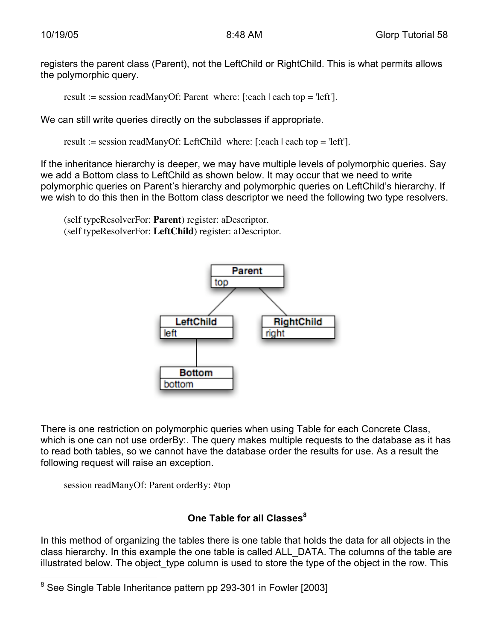registers the parent class (Parent), not the LeftChild or RightChild. This is what permits allows the polymorphic query.

result := session readManyOf: Parent where: [:each | each top = 'left'].

We can still write queries directly on the subclasses if appropriate.

result := session readManyOf: LeftChild where: [:each  $|$  each top = 'left'].

If the inheritance hierarchy is deeper, we may have multiple levels of polymorphic queries. Say we add a Bottom class to LeftChild as shown below. It may occur that we need to write polymorphic queries on Parent's hierarchy and polymorphic queries on LeftChild's hierarchy. If we wish to do this then in the Bottom class descriptor we need the following two type resolvers.

(self typeResolverFor: **Parent**) register: aDescriptor. (self typeResolverFor: **LeftChild**) register: aDescriptor.



There is one restriction on polymorphic queries when using Table for each Concrete Class, which is one can not use orderBy:. The query makes multiple requests to the database as it has to read both tables, so we cannot have the database order the results for use. As a result the following request will raise an exception.

session readManyOf: Parent orderBy: #top

# **One Table for all Classes<sup>8</sup>**

In this method of organizing the tables there is one table that holds the data for all objects in the class hierarchy. In this example the one table is called ALL\_DATA. The columns of the table are illustrated below. The object\_type column is used to store the type of the object in the row. This

 $\overline{8}$ See Single Table Inheritance pattern pp 293-301 in Fowler [2003]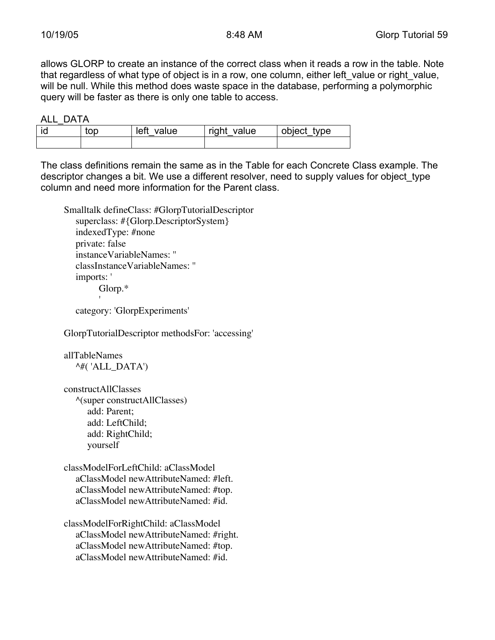allows GLORP to create an instance of the correct class when it reads a row in the table. Note that regardless of what type of object is in a row, one column, either left value or right value, will be null. While this method does waste space in the database, performing a polymorphic query will be faster as there is only one table to access.

ALL\_DATA

| top | left<br>value | right value | object<br>type |
|-----|---------------|-------------|----------------|
|     |               |             |                |

The class definitions remain the same as in the Table for each Concrete Class example. The descriptor changes a bit. We use a different resolver, need to supply values for object type column and need more information for the Parent class.

```
Smalltalk defineClass: #GlorpTutorialDescriptor
  superclass: #{Glorp.DescriptorSystem}
   indexedType: #none
  private: false
  instanceVariableNames: ''
  classInstanceVariableNames: ''
  imports: '
        Glorp.*
```
category: 'GlorpExperiments'

GlorpTutorialDescriptor methodsFor: 'accessing'

```
allTableNames
  \wedge#('ALL_DATA')
```
constructAllClasses ^(super constructAllClasses) add: Parent; add: LeftChild; add: RightChild; yourself

classModelForLeftChild: aClassModel aClassModel newAttributeNamed: #left. aClassModel newAttributeNamed: #top. aClassModel newAttributeNamed: #id.

classModelForRightChild: aClassModel aClassModel newAttributeNamed: #right. aClassModel newAttributeNamed: #top. aClassModel newAttributeNamed: #id.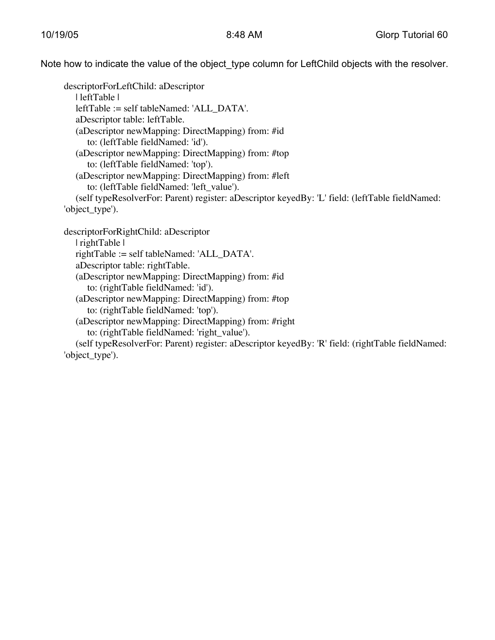Note how to indicate the value of the object\_type column for LeftChild objects with the resolver.

descriptorForLeftChild: aDescriptor | leftTable | leftTable := self tableNamed: 'ALL\_DATA'. aDescriptor table: leftTable. (aDescriptor newMapping: DirectMapping) from: #id to: (leftTable fieldNamed: 'id'). (aDescriptor newMapping: DirectMapping) from: #top to: (leftTable fieldNamed: 'top'). (aDescriptor newMapping: DirectMapping) from: #left to: (leftTable fieldNamed: 'left\_value'). (self typeResolverFor: Parent) register: aDescriptor keyedBy: 'L' field: (leftTable fieldNamed: 'object\_type'). descriptorForRightChild: aDescriptor

| rightTable | rightTable := self tableNamed: 'ALL\_DATA'. aDescriptor table: rightTable. (aDescriptor newMapping: DirectMapping) from: #id to: (rightTable fieldNamed: 'id'). (aDescriptor newMapping: DirectMapping) from: #top to: (rightTable fieldNamed: 'top'). (aDescriptor newMapping: DirectMapping) from: #right to: (rightTable fieldNamed: 'right\_value').

(self typeResolverFor: Parent) register: aDescriptor keyedBy: 'R' field: (rightTable fieldNamed: 'object\_type').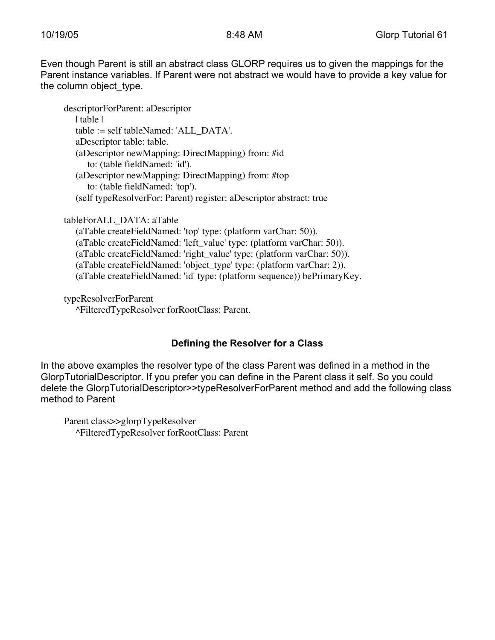Even though Parent is still an abstract class GLORP requires us to given the mappings for the Parent instance variables. If Parent were not abstract we would have to provide a key value for the column object type.

descriptorForParent: aDescriptor | table | table := self tableNamed: 'ALL\_DATA'. aDescriptor table: table. (aDescriptor newMapping: DirectMapping) from: #id to: (table fieldNamed: 'id'). (aDescriptor newMapping: DirectMapping) from: #top to: (table fieldNamed: 'top'). (self typeResolverFor: Parent) register: aDescriptor abstract: true

tableForALL\_DATA: aTable (aTable createFieldNamed: 'top' type: (platform varChar: 50)). (aTable createFieldNamed: 'left\_value' type: (platform varChar: 50)). (aTable createFieldNamed: 'right\_value' type: (platform varChar: 50)). (aTable createFieldNamed: 'object\_type' type: (platform varChar: 2)). (aTable createFieldNamed: 'id' type: (platform sequence)) bePrimaryKey.

typeResolverForParent ^FilteredTypeResolver forRootClass: Parent.

# **Defining the Resolver for a Class**

In the above examples the resolver type of the class Parent was defined in a method in the GlorpTutorialDescriptor. If you prefer you can define in the Parent class it self. So you could delete the GlorpTutorialDescriptor>>typeResolverForParent method and add the following class method to Parent

Parent class>>glorpTypeResolver ^FilteredTypeResolver forRootClass: Parent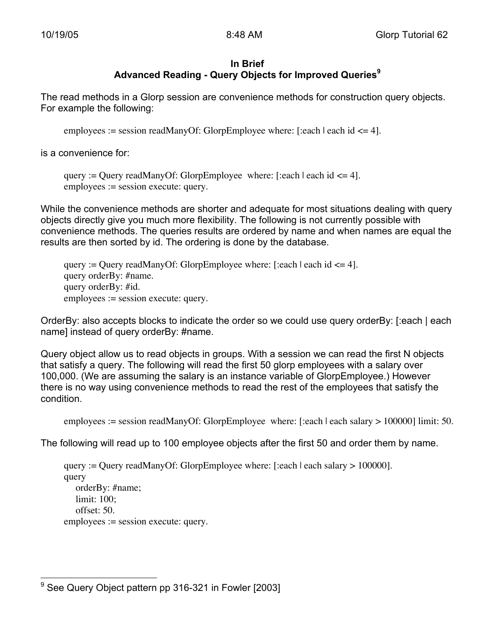#### **In Brief Advanced Reading - Query Objects for Improved Queries<sup>9</sup>**

The read methods in a Glorp session are convenience methods for construction query objects. For example the following:

employees := session readManyOf: GlorpEmployee where: [:each | each id <= 4].

is a convenience for:

```
query := Query readManyOf: GlorpEmployee where: [:each | each id \leq 4].
employees := session execute: query.
```
While the convenience methods are shorter and adequate for most situations dealing with query objects directly give you much more flexibility. The following is not currently possible with convenience methods. The queries results are ordered by name and when names are equal the results are then sorted by id. The ordering is done by the database.

```
query := Query readManyOf: GlorpEmployee where: [:each | each id \leq 4].
query orderBy: #name.
query orderBy: #id.
employees := session execute: query.
```
OrderBy: also accepts blocks to indicate the order so we could use query orderBy: [:each | each name] instead of query orderBy: #name.

Query object allow us to read objects in groups. With a session we can read the first N objects that satisfy a query. The following will read the first 50 glorp employees with a salary over 100,000. (We are assuming the salary is an instance variable of GlorpEmployee.) However there is no way using convenience methods to read the rest of the employees that satisfy the condition.

```
employees := session readManyOf: GlorpEmployee where: [:each | each salary > 100000] limit: 50.
```
The following will read up to 100 employee objects after the first 50 and order them by name.

```
query := Query readManyOf: GlorpEmployee where: [:each | each salary > 100000].
query
   orderBy: #name;
   limit: 100;
   offset: 50.
employees := session execute: query.
```
<sup>—&</sup>lt;br>9 See Query Object pattern pp 316-321 in Fowler [2003]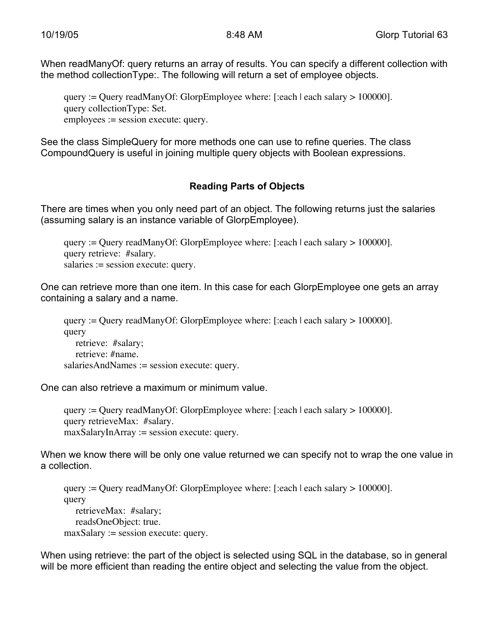When readManyOf: query returns an array of results. You can specify a different collection with the method collectionType:. The following will return a set of employee objects.

query := Query readManyOf: GlorpEmployee where: [:each | each salary > 100000]. query collectionType: Set. employees := session execute: query.

See the class SimpleQuery for more methods one can use to refine queries. The class CompoundQuery is useful in joining multiple query objects with Boolean expressions.

# **Reading Parts of Objects**

There are times when you only need part of an object. The following returns just the salaries (assuming salary is an instance variable of GlorpEmployee).

query := Query readManyOf: GlorpEmployee where: [:each | each salary > 100000]. query retrieve: #salary. salaries := session execute: query.

One can retrieve more than one item. In this case for each GlorpEmployee one gets an array containing a salary and a name.

query := Query readManyOf: GlorpEmployee where: [:each | each salary > 100000]. query retrieve: #salary; retrieve: #name. salariesAndNames := session execute: query.

One can also retrieve a maximum or minimum value.

query := Query readManyOf: GlorpEmployee where: [:each | each salary > 100000]. query retrieveMax: #salary. maxSalaryInArray := session execute: query.

When we know there will be only one value returned we can specify not to wrap the one value in a collection.

query := Query readManyOf: GlorpEmployee where: [:each | each salary > 100000]. query retrieveMax: #salary; readsOneObject: true.  $maxSalary := session execute: query.$ 

When using retrieve: the part of the object is selected using SQL in the database, so in general will be more efficient than reading the entire object and selecting the value from the object.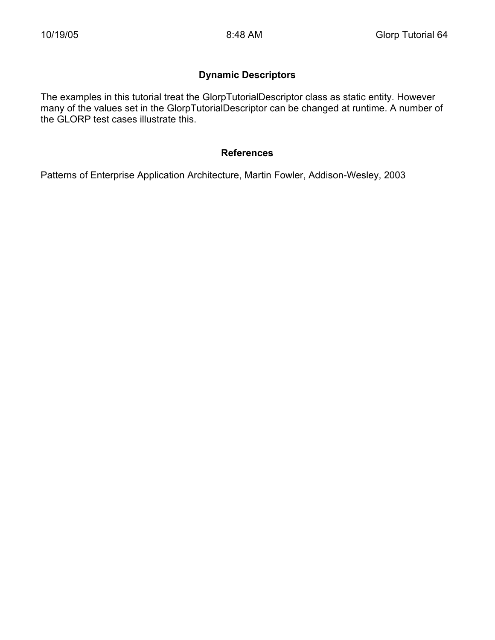# **Dynamic Descriptors**

The examples in this tutorial treat the GlorpTutorialDescriptor class as static entity. However many of the values set in the GlorpTutorialDescriptor can be changed at runtime. A number of the GLORP test cases illustrate this.

#### **References**

Patterns of Enterprise Application Architecture, Martin Fowler, Addison-Wesley, 2003